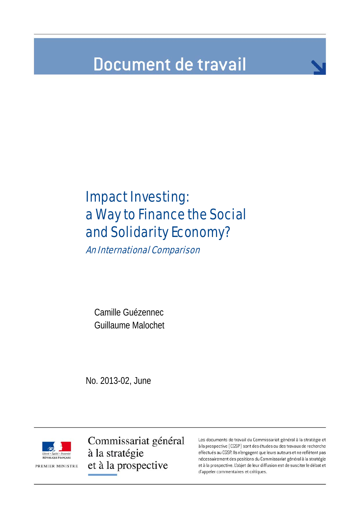# **Document de travail**

# Impact Investing: a Way to Finance the Social and Solidarity Economy?

An International Comparison

Camille Guézennec Guillaume Malochet

No. 2013-02, June



Commissariat général à la stratégie et à la prospective

Les documents de travail du Commissariat général à la stratégie et à la prospective (CGSP) sont des études ou des travaux de recherche effectués au CGSP. Ils n'engagent que leurs auteurs et ne reflètent pas nécessairement des positions du Commissariat général à la stratégie et à la prospective. L'objet de leur diffusion est de susciter le débat et d'appeler commentaires et critiques.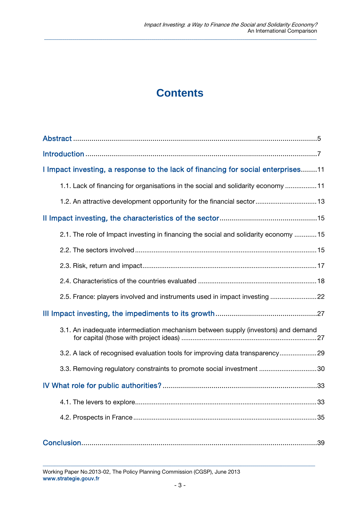# **Contents**

*\_\_\_\_\_\_\_\_\_\_\_\_\_\_\_\_\_\_\_\_\_\_\_\_\_\_\_\_\_\_\_\_\_\_\_\_\_\_\_\_\_\_\_\_\_\_\_\_\_\_\_\_\_\_\_\_\_\_\_\_\_\_\_\_\_\_\_\_\_\_\_\_\_\_\_\_\_\_\_\_\_\_\_\_\_\_\_\_\_\_\_\_\_\_\_\_\_\_\_\_\_\_\_\_\_\_\_\_\_\_\_\_\_\_\_\_\_\_\_\_\_\_\_\_\_\_\_\_\_\_\_\_\_\_\_*

| I Impact investing, a response to the lack of financing for social enterprises11     |
|--------------------------------------------------------------------------------------|
| 1.1. Lack of financing for organisations in the social and solidarity economy  11    |
| 1.2. An attractive development opportunity for the financial sector 13               |
|                                                                                      |
| 2.1. The role of Impact investing in financing the social and solidarity economy  15 |
|                                                                                      |
|                                                                                      |
|                                                                                      |
| 2.5. France: players involved and instruments used in impact investing  22           |
|                                                                                      |
| 3.1. An inadequate intermediation mechanism between supply (investors) and demand    |
| 3.2. A lack of recognised evaluation tools for improving data transparency29         |
| 3.3. Removing regulatory constraints to promote social investment 30                 |
|                                                                                      |
|                                                                                      |
|                                                                                      |
|                                                                                      |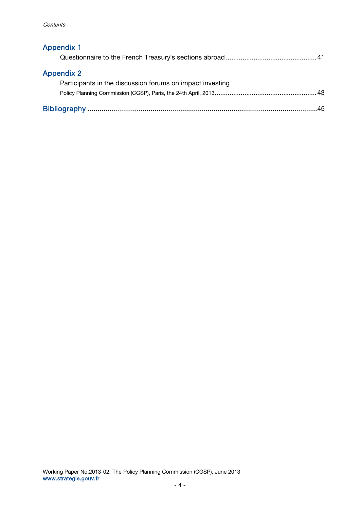| <b>Appendix 1</b>                                         |  |
|-----------------------------------------------------------|--|
|                                                           |  |
| <b>Appendix 2</b>                                         |  |
| Participants in the discussion forums on impact investing |  |
|                                                           |  |
|                                                           |  |

*\_\_\_\_\_\_\_\_\_\_\_\_\_\_\_\_\_\_\_\_\_\_\_\_\_\_\_\_\_\_\_\_\_\_\_\_\_\_\_\_\_\_\_\_\_\_\_\_\_\_\_\_\_\_\_\_\_\_\_\_\_\_\_\_\_\_\_\_\_\_\_\_\_\_\_\_\_\_\_\_\_\_\_\_\_\_\_\_\_\_\_\_\_\_\_\_\_\_\_\_\_\_\_\_\_\_\_\_\_\_\_\_\_\_\_\_\_\_\_\_\_\_\_\_\_\_\_\_\_\_\_\_\_\_\_*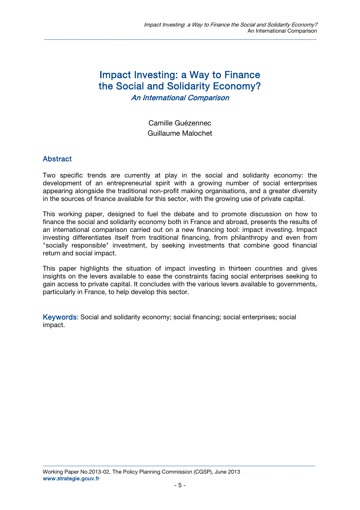# Impact Investing: a Way to Finance the Social and Solidarity Economy? An International Comparison

*\_\_\_\_\_\_\_\_\_\_\_\_\_\_\_\_\_\_\_\_\_\_\_\_\_\_\_\_\_\_\_\_\_\_\_\_\_\_\_\_\_\_\_\_\_\_\_\_\_\_\_\_\_\_\_\_\_\_\_\_\_\_\_\_\_\_\_\_\_\_\_\_\_\_\_\_\_\_\_\_\_\_\_\_\_\_\_\_\_\_\_\_\_\_\_\_\_\_\_\_\_\_\_\_\_\_\_\_\_\_\_\_\_\_\_\_\_\_\_\_\_\_\_\_\_\_\_\_\_\_\_\_\_\_\_*

Camille Guézennec Guillaume Malochet

### **Abstract**

Two specific trends are currently at play in the social and solidarity economy: the development of an entrepreneurial spirit with a growing number of social enterprises appearing alongside the traditional non-profit making organisations, and a greater diversity in the sources of finance available for this sector, with the growing use of private capital.

This working paper, designed to fuel the debate and to promote discussion on how to finance the social and solidarity economy both in France and abroad, presents the results of an international comparison carried out on a new financing tool: impact investing. Impact investing differentiates itself from traditional financing, from philanthropy and even from "socially responsible" investment, by seeking investments that combine good financial return and social impact.

This paper highlights the situation of impact investing in thirteen countries and gives insights on the levers available to ease the constraints facing social enterprises seeking to gain access to private capital. It concludes with the various levers available to governments, particularly in France, to help develop this sector.

Keywords: Social and solidarity economy; social financing; social enterprises; social impact.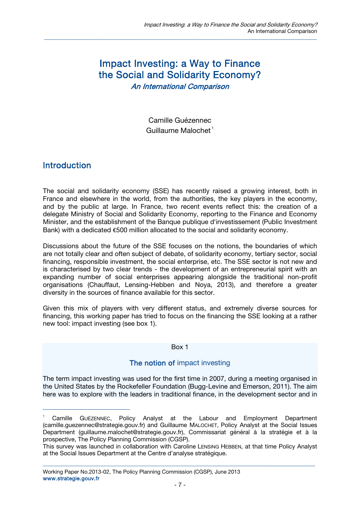# Impact Investing: a Way to Finance the Social and Solidarity Economy?

*\_\_\_\_\_\_\_\_\_\_\_\_\_\_\_\_\_\_\_\_\_\_\_\_\_\_\_\_\_\_\_\_\_\_\_\_\_\_\_\_\_\_\_\_\_\_\_\_\_\_\_\_\_\_\_\_\_\_\_\_\_\_\_\_\_\_\_\_\_\_\_\_\_\_\_\_\_\_\_\_\_\_\_\_\_\_\_\_\_\_\_\_\_\_\_\_\_\_\_\_\_\_\_\_\_\_\_\_\_\_\_\_\_\_\_\_\_\_\_\_\_\_\_\_\_\_\_\_\_\_\_\_\_\_\_*

An International Comparison

Camille Guézennec Guillaume Malochet<sup>1</sup>

# Introduction

 

The social and solidarity economy (SSE) has recently raised a growing interest, both in France and elsewhere in the world, from the authorities, the key players in the economy, and by the public at large. In France, two recent events reflect this: the creation of a delegate Ministry of Social and Solidarity Economy, reporting to the Finance and Economy Minister, and the establishment of the Banque publique d'investissement (Public Investment Bank) with a dedicated €500 million allocated to the social and solidarity economy.

Discussions about the future of the SSE focuses on the notions, the boundaries of which are not totally clear and often subject of debate, of solidarity economy, tertiary sector, social financing, responsible investment, the social enterprise, etc. The SSE sector is not new and is characterised by two clear trends - the development of an entrepreneurial spirit with an expanding number of social enterprises appearing alongside the traditional non-profit organisations (Chauffaut, Lensing-Hebben and Noya, 2013), and therefore a greater diversity in the sources of finance available for this sector.

Given this mix of players with very different status, and extremely diverse sources for financing, this working paper has tried to focus on the financing the SSE looking at a rather new tool: impact investing (see box 1).

#### Box 1

#### The notion of impact investing

The term impact investing was used for the first time in 2007, during a meeting organised in the United States by the Rockefeller Foundation (Bugg-Levine and Emerson, 2011). The aim here was to explore with the leaders in traditional finance, in the development sector and in

<sup>1</sup> Camille GUÉZENNEC, Policy Analyst at the Labour and Employment Department (camille.guezennec@strategie.gouv.fr) and Guillaume MALOCHET, Policy Analyst at the Social Issues Department (guillaume.malochet@strategie.gouv.fr), Commissariat général à la stratégie et à la prospective, The Policy Planning Commission (CGSP).

This survey was launched in collaboration with Caroline LENSING HEBBEN, at that time Policy Analyst at the Social Issues Department at the Centre d'analyse stratégique.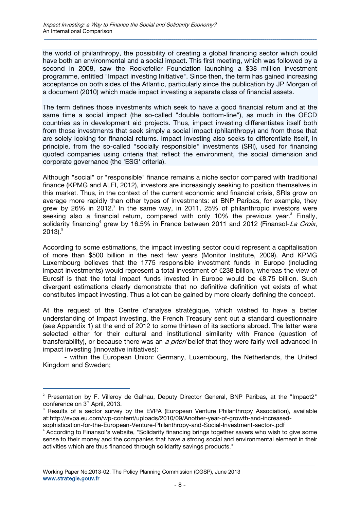the world of philanthropy, the possibility of creating a global financing sector which could have both an environmental and a social impact. This first meeting, which was followed by a second in 2008, saw the Rockefeller Foundation launching a \$38 million investment programme, entitled "Impact investing Initiative". Since then, the term has gained increasing acceptance on both sides of the Atlantic, particularly since the publication by JP Morgan of a document (2010) which made impact investing a separate class of financial assets.

*\_\_\_\_\_\_\_\_\_\_\_\_\_\_\_\_\_\_\_\_\_\_\_\_\_\_\_\_\_\_\_\_\_\_\_\_\_\_\_\_\_\_\_\_\_\_\_\_\_\_\_\_\_\_\_\_\_\_\_\_\_\_\_\_\_\_\_\_\_\_\_\_\_\_\_\_\_\_\_\_\_\_\_\_\_\_\_\_\_\_\_\_\_\_\_\_\_\_\_\_\_\_\_\_\_\_\_\_\_\_\_\_\_\_\_\_\_\_\_\_\_\_\_\_\_\_\_\_\_\_\_\_\_\_\_*

The term defines those investments which seek to have a good financial return and at the same time a social impact (the so-called "double bottom-line"), as much in the OECD countries as in development aid projects. Thus, impact investing differentiates itself both from those investments that seek simply a social impact (philanthropy) and from those that are solely looking for financial returns. Impact investing also seeks to differentiate itself, in principle, from the so-called "socially responsible" investments (SRI), used for financing quoted companies using criteria that reflect the environment, the social dimension and corporate governance (the 'ESG' criteria).

Although "social" or "responsible" finance remains a niche sector compared with traditional finance (KPMG and ALFI, 2012), investors are increasingly seeking to position themselves in this market. Thus, in the context of the current economic and financial crisis, SRIs grow on average more rapidly than other types of investments: at BNP Paribas, for example, they grew by 26% in 2012.<sup>2</sup> In the same way, in 2011, 25% of philanthropic investors were seeking also a financial return, compared with only 10% the previous year. $3$  Finally, solidarity financing<sup>4</sup> grew by 16.5% in France between 2011 and 2012 (Finansol-*La Croix*, 2013). $^{\mathrm{5}}$ 

According to some estimations, the impact investing sector could represent a capitalisation of more than \$500 billion in the next few years (Monitor Institute, 2009). And KPMG Luxembourg believes that the 1775 responsible investment funds in Europe (including impact investments) would represent a total investment of €238 billion, whereas the view of Eurosif is that the total impact funds invested in Europe would be  $\epsilon$ 8.75 billion. Such divergent estimations clearly demonstrate that no definitive definition yet exists of what constitutes impact investing. Thus a lot can be gained by more clearly defining the concept.

At the request of the Centre d'analyse stratégique, which wished to have a better understanding of Impact investing, the French Treasury sent out a standard questionnaire (see Appendix 1) at the end of 2012 to some thirteen of its sections abroad. The latter were selected either for their cultural and institutional similarity with France (question of transferability), or because there was an a priori belief that they were fairly well advanced in impact investing (innovative initiatives):

- within the European Union: Germany, Luxembourg, the Netherlands, the United Kingdom and Sweden;

 

 $2$  Presentation by F. Villeroy de Galhau, Deputy Director General, BNP Paribas, at the "Impact2" conference on  $3<sup>rd</sup>$  April, 2013.

<sup>&</sup>lt;sup>3</sup> Results of a sector survey by the EVPA (European Venture Philanthropy Association), available at:http://evpa.eu.com/wp-content/uploads/2010/09/Another-year-of-growth-and-increased-

sophistication-for-the-European-Venture-Philanthropy-and-Social-Investment-sector-.pdf

<sup>&</sup>lt;sup>4</sup> According to Finansol's website, "Solidarity financing brings together savers who wish to give some sense to their money and the companies that have a strong social and environmental element in their activities which are thus financed through solidarity savings products."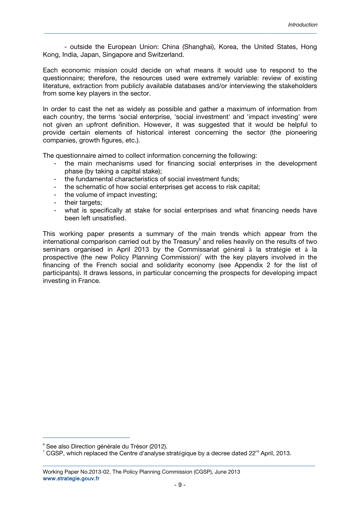- outside the European Union: China (Shanghai), Korea, the United States, Hong Kong, India, Japan, Singapore and Switzerland.

*\_\_\_\_\_\_\_\_\_\_\_\_\_\_\_\_\_\_\_\_\_\_\_\_\_\_\_\_\_\_\_\_\_\_\_\_\_\_\_\_\_\_\_\_\_\_\_\_\_\_\_\_\_\_\_\_\_\_\_\_\_\_\_\_\_\_\_\_\_\_\_\_\_\_\_\_\_\_\_\_\_\_\_\_\_\_\_\_\_\_\_\_\_\_\_\_\_\_\_\_\_\_\_\_\_\_\_\_\_\_\_\_\_\_\_\_\_\_\_\_\_\_\_\_\_\_\_\_\_\_\_\_\_\_\_*

Each economic mission could decide on what means it would use to respond to the questionnaire; therefore, the resources used were extremely variable: review of existing literature, extraction from publicly available databases and/or interviewing the stakeholders from some key players in the sector.

In order to cast the net as widely as possible and gather a maximum of information from each country, the terms 'social enterprise, 'social investment' and 'impact investing' were not given an upfront definition. However, it was suggested that it would be helpful to provide certain elements of historical interest concerning the sector (the pioneering companies, growth figures, etc.).

The questionnaire aimed to collect information concerning the following:

- the main mechanisms used for financing social enterprises in the development phase (by taking a capital stake);
- the fundamental characteristics of social investment funds;
- the schematic of how social enterprises get access to risk capital;
- the volume of impact investing;
- their targets:
- what is specifically at stake for social enterprises and what financing needs have been left unsatisfied.

This working paper presents a summary of the main trends which appear from the international comparison carried out by the Treasury $^6$  and relies heavily on the results of two seminars organised in April 2013 by the Commissariat général à la stratégie et à la prospective (the new Policy Planning Commission)<sup>7</sup> with the key players involved in the financing of the French social and solidarity economy (see Appendix 2 for the list of participants). It draws lessons, in particular concerning the prospects for developing impact investing in France.

 

<sup>6</sup> See also Direction générale du Trésor (2012).

 $7 \text{ CGSP}$ , which replaced the Centre d'analyse stratégique by a decree dated 22<sup>nd</sup> April, 2013.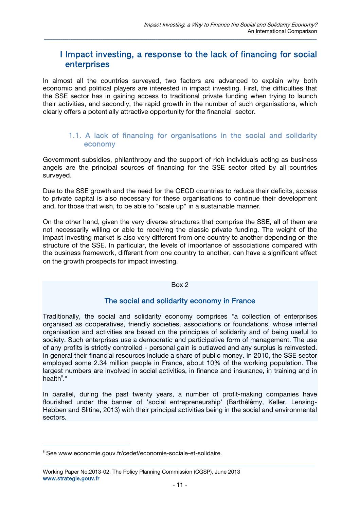# I Impact investing, a response to the lack of financing for social enterprises

In almost all the countries surveyed, two factors are advanced to explain why both economic and political players are interested in impact investing. First, the difficulties that the SSE sector has in gaining access to traditional private funding when trying to launch their activities, and secondly, the rapid growth in the number of such organisations, which clearly offers a potentially attractive opportunity for the financial sector.

*\_\_\_\_\_\_\_\_\_\_\_\_\_\_\_\_\_\_\_\_\_\_\_\_\_\_\_\_\_\_\_\_\_\_\_\_\_\_\_\_\_\_\_\_\_\_\_\_\_\_\_\_\_\_\_\_\_\_\_\_\_\_\_\_\_\_\_\_\_\_\_\_\_\_\_\_\_\_\_\_\_\_\_\_\_\_\_\_\_\_\_\_\_\_\_\_\_\_\_\_\_\_\_\_\_\_\_\_\_\_\_\_\_\_\_\_\_\_\_\_\_\_\_\_\_\_\_\_\_\_\_\_\_\_\_*

#### 1.1. A lack of financing for organisations in the social and solidarity economy

Government subsidies, philanthropy and the support of rich individuals acting as business angels are the principal sources of financing for the SSE sector cited by all countries surveyed.

Due to the SSE growth and the need for the OECD countries to reduce their deficits, access to private capital is also necessary for these organisations to continue their development and, for those that wish, to be able to "scale up" in a sustainable manner.

On the other hand, given the very diverse structures that comprise the SSE, all of them are not necessarily willing or able to receiving the classic private funding. The weight of the impact investing market is also very different from one country to another depending on the structure of the SSE. In particular, the levels of importance of associations compared with the business framework, different from one country to another, can have a significant effect on the growth prospects for impact investing.

#### Box 2

#### The social and solidarity economy in France

Traditionally, the social and solidarity economy comprises "a collection of enterprises organised as cooperatives, friendly societies, associations or foundations, whose internal organisation and activities are based on the principles of solidarity and of being useful to society. Such enterprises use a democratic and participative form of management. The use of any profits is strictly controlled - personal gain is outlawed and any surplus is reinvested. In general their financial resources include a share of public money. In 2010, the SSE sector employed some 2.34 million people in France, about 10% of the working population. The largest numbers are involved in social activities, in finance and insurance, in training and in health<sup>8</sup>."

In parallel, during the past twenty years, a number of profit-making companies have flourished under the banner of 'social entrepreneurship' (Barthélémy, Keller, Lensing-Hebben and Slitine, 2013) with their principal activities being in the social and environmental sectors.

 

<sup>&</sup>lt;sup>8</sup> See www.economie.gouv.fr/cedef/economie-sociale-et-solidaire.

Working Paper No.2013-02, The Policy Planning Commission (CGSP), June 2013 www.strategie.gouv.fr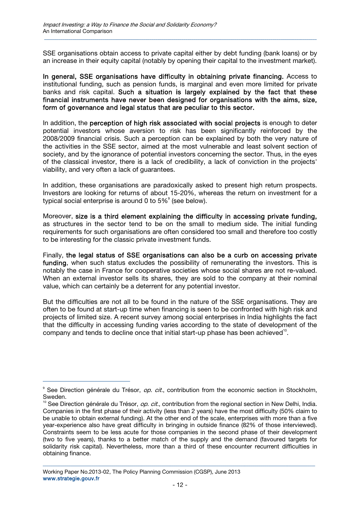SSE organisations obtain access to private capital either by debt funding (bank loans) or by an increase in their equity capital (notably by opening their capital to the investment market).

*\_\_\_\_\_\_\_\_\_\_\_\_\_\_\_\_\_\_\_\_\_\_\_\_\_\_\_\_\_\_\_\_\_\_\_\_\_\_\_\_\_\_\_\_\_\_\_\_\_\_\_\_\_\_\_\_\_\_\_\_\_\_\_\_\_\_\_\_\_\_\_\_\_\_\_\_\_\_\_\_\_\_\_\_\_\_\_\_\_\_\_\_\_\_\_\_\_\_\_\_\_\_\_\_\_\_\_\_\_\_\_\_\_\_\_\_\_\_\_\_\_\_\_\_\_\_\_\_\_\_\_\_\_\_\_*

In general, SSE organisations have difficulty in obtaining private financing. Access to institutional funding, such as pension funds, is marginal and even more limited for private banks and risk capital. Such a situation is largely explained by the fact that these financial instruments have never been designed for organisations with the aims, size, form of governance and legal status that are peculiar to this sector.

In addition, the perception of high risk associated with social projects is enough to deter potential investors whose aversion to risk has been significantly reinforced by the 2008/2009 financial crisis. Such a perception can be explained by both the very nature of the activities in the SSE sector, aimed at the most vulnerable and least solvent section of society, and by the ignorance of potential investors concerning the sector. Thus, in the eyes of the classical investor, there is a lack of credibility, a lack of conviction in the projects' viability, and very often a lack of guarantees.

In addition, these organisations are paradoxically asked to present high return prospects. Investors are looking for returns of about 15-20%, whereas the return on investment for a typical social enterprise is around 0 to 5% $^{\circ}$  (see below).

Moreover, size is a third element explaining the difficulty in accessing private funding, as structures in the sector tend to be on the small to medium side. The initial funding requirements for such organisations are often considered too small and therefore too costly to be interesting for the classic private investment funds.

Finally, the legal status of SSE organisations can also be a curb on accessing private funding, when such status excludes the possibility of remunerating the investors. This is notably the case in France for cooperative societies whose social shares are not re-valued. When an external investor sells its shares, they are sold to the company at their nominal value, which can certainly be a deterrent for any potential investor.

But the difficulties are not all to be found in the nature of the SSE organisations. They are often to be found at start-up time when financing is seen to be confronted with high risk and projects of limited size. A recent survey among social enterprises in India highlights the fact that the difficulty in accessing funding varies according to the state of development of the company and tends to decline once that initial start-up phase has been achieved<sup>10</sup>.

 

<sup>&</sup>lt;sup>9</sup> See Direction générale du Trésor, *op. cit.*, contribution from the economic section in Stockholm, Sweden.

<sup>&</sup>lt;sup>10</sup> See Direction générale du Trésor, *op. cit.*, contribution from the regional section in New Delhi, India. Companies in the first phase of their activity (less than 2 years) have the most difficulty (50% claim to be unable to obtain external funding). At the other end of the scale, enterprises with more than a five year-experience also have great difficulty in bringing in outside finance (82% of those interviewed). Constraints seem to be less acute for those companies in the second phase of their development (two to five years), thanks to a better match of the supply and the demand (favoured targets for solidarity risk capital). Nevertheless, more than a third of these encounter recurrent difficulties in obtaining finance.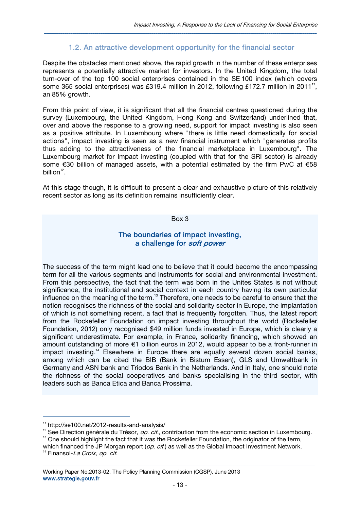#### 1.2. An attractive development opportunity for the financial sector

*\_\_\_\_\_\_\_\_\_\_\_\_\_\_\_\_\_\_\_\_\_\_\_\_\_\_\_\_\_\_\_\_\_\_\_\_\_\_\_\_\_\_\_\_\_\_\_\_\_\_\_\_\_\_\_\_\_\_\_\_\_\_\_\_\_\_\_\_\_\_\_\_\_\_\_\_\_\_\_\_\_\_\_\_\_\_\_\_\_\_\_\_\_\_\_\_\_\_\_\_\_\_\_\_\_\_\_\_\_\_\_\_\_\_\_\_\_\_\_\_\_\_\_\_\_\_\_\_\_\_\_\_\_\_\_*

Despite the obstacles mentioned above, the rapid growth in the number of these enterprises represents a potentially attractive market for investors. In the United Kingdom, the total turn-over of the top 100 social enterprises contained in the SE 100 index (which covers some 365 social enterprises) was £319.4 million in 2012, following £172.7 million in 2011<sup>11</sup>, an 85% growth.

From this point of view, it is significant that all the financial centres questioned during the survey (Luxembourg, the United Kingdom, Hong Kong and Switzerland) underlined that, over and above the response to a growing need, support for impact investing is also seen as a positive attribute. In Luxembourg where "there is little need domestically for social actions", impact investing is seen as a new financial instrument which "generates profits thus adding to the attractiveness of the financial marketplace in Luxembourg". The Luxembourg market for Impact investing (coupled with that for the SRI sector) is already some €30 billion of managed assets, with a potential estimated by the firm PwC at €58 billion $12$ .

At this stage though, it is difficult to present a clear and exhaustive picture of this relatively recent sector as long as its definition remains insufficiently clear.

#### Box 3

#### The boundaries of impact investing, a challenge for soft power

The success of the term might lead one to believe that it could become the encompassing term for all the various segments and instruments for social and environmental investment. From this perspective, the fact that the term was born in the Unites States is not without significance, the institutional and social context in each country having its own particular influence on the meaning of the term.<sup>13</sup> Therefore, one needs to be careful to ensure that the notion recognises the richness of the social and solidarity sector in Europe, the implantation of which is not something recent, a fact that is frequently forgotten. Thus, the latest report from the Rockefeller Foundation on impact investing throughout the world (Rockefeller Foundation, 2012) only recognised \$49 million funds invested in Europe, which is clearly a significant underestimate. For example, in France, solidarity financing, which showed an amount outstanding of more €1 billion euros in 2012, would appear to be a front-runner in impact investing.<sup>14</sup> Elsewhere in Europe there are equally several dozen social banks, among which can be cited the BIB (Bank in Bistum Essen), GLS and Umweltbank in Germany and ASN bank and Triodos Bank in the Netherlands. And in Italy, one should note the richness of the social cooperatives and banks specialising in the third sector, with leaders such as Banca Etica and Banca Prossima.

 

<sup>11</sup> http://se100.net/2012-results-and-analysis/

<sup>&</sup>lt;sup>12</sup> See Direction générale du Trésor, *op. cit.*, contribution from the economic section in Luxembourg.<br><sup>13</sup> One should highlight the fact that it was the Rockefeller Foundation, the originator of the term,

which financed the JP Morgan report (*op. cit.*) as well as the Global Impact Investment Network. <sup>14</sup> Finansol-La Croix, op. cit.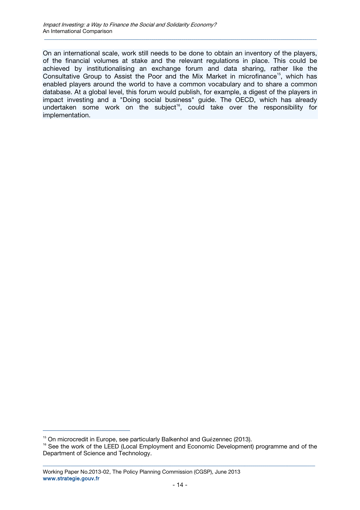On an international scale, work still needs to be done to obtain an inventory of the players, of the financial volumes at stake and the relevant regulations in place. This could be achieved by institutionalising an exchange forum and data sharing, rather like the Consultative Group to Assist the Poor and the Mix Market in microfinance<sup>15</sup>, which has enabled players around the world to have a common vocabulary and to share a common database. At a global level, this forum would publish, for example, a digest of the players in impact investing and a "Doing social business" guide. The OECD, which has already undertaken some work on the subject<sup>16</sup>, could take over the responsibility for implementation.

*\_\_\_\_\_\_\_\_\_\_\_\_\_\_\_\_\_\_\_\_\_\_\_\_\_\_\_\_\_\_\_\_\_\_\_\_\_\_\_\_\_\_\_\_\_\_\_\_\_\_\_\_\_\_\_\_\_\_\_\_\_\_\_\_\_\_\_\_\_\_\_\_\_\_\_\_\_\_\_\_\_\_\_\_\_\_\_\_\_\_\_\_\_\_\_\_\_\_\_\_\_\_\_\_\_\_\_\_\_\_\_\_\_\_\_\_\_\_\_\_\_\_\_\_\_\_\_\_\_\_\_\_\_\_\_*

 

<sup>&</sup>lt;sup>15</sup> On microcredit in Europe, see particularly Balkenhol and Guézennec (2013).<br><sup>16</sup> See the work of the LEED (Local Employment and Economic Development) programme and of the Department of Science and Technology.

Working Paper No.2013-02, The Policy Planning Commission (CGSP), June 2013 www.strategie.gouv.fr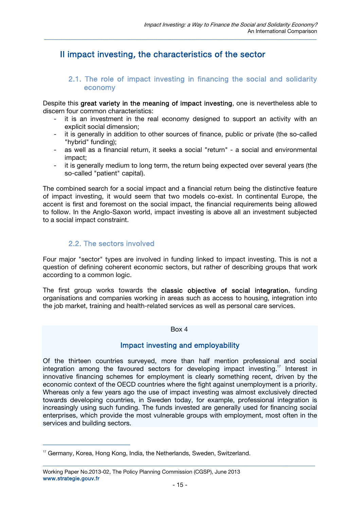# II impact investing, the characteristics of the sector

#### 2.1. The role of impact investing in financing the social and solidarity economy

Despite this great variety in the meaning of impact investing, one is nevertheless able to discern four common characteristics:

*\_\_\_\_\_\_\_\_\_\_\_\_\_\_\_\_\_\_\_\_\_\_\_\_\_\_\_\_\_\_\_\_\_\_\_\_\_\_\_\_\_\_\_\_\_\_\_\_\_\_\_\_\_\_\_\_\_\_\_\_\_\_\_\_\_\_\_\_\_\_\_\_\_\_\_\_\_\_\_\_\_\_\_\_\_\_\_\_\_\_\_\_\_\_\_\_\_\_\_\_\_\_\_\_\_\_\_\_\_\_\_\_\_\_\_\_\_\_\_\_\_\_\_\_\_\_\_\_\_\_\_\_\_\_\_*

- it is an investment in the real economy designed to support an activity with an explicit social dimension;
- it is generally in addition to other sources of finance, public or private (the so-called "hybrid" funding);
- as well as a financial return, it seeks a social "return" a social and environmental impact;
- it is generally medium to long term, the return being expected over several years (the so-called "patient" capital).

The combined search for a social impact and a financial return being the distinctive feature of impact investing, it would seem that two models co-exist. In continental Europe, the accent is first and foremost on the social impact, the financial requirements being allowed to follow. In the Anglo-Saxon world, impact investing is above all an investment subjected to a social impact constraint.

#### 2.2. The sectors involved

Four major "sector" types are involved in funding linked to impact investing. This is not a question of defining coherent economic sectors, but rather of describing groups that work according to a common logic.

The first group works towards the classic objective of social integration, funding organisations and companies working in areas such as access to housing, integration into the job market, training and health-related services as well as personal care services.

#### Box 4

#### Impact investing and employability

Of the thirteen countries surveyed, more than half mention professional and social integration among the favoured sectors for developing impact investing.<sup>17</sup> Interest in innovative financing schemes for employment is clearly something recent, driven by the economic context of the OECD countries where the fight against unemployment is a priority. Whereas only a few years ago the use of impact investing was almost exclusively directed towards developing countries, in Sweden today, for example, professional integration is increasingly using such funding. The funds invested are generally used for financing social enterprises, which provide the most vulnerable groups with employment, most often in the services and building sectors.

 

<sup>&</sup>lt;sup>17</sup> Germany, Korea, Hong Kong, India, the Netherlands, Sweden, Switzerland.

Working Paper No.2013-02, The Policy Planning Commission (CGSP), June 2013 www.strategie.gouv.fr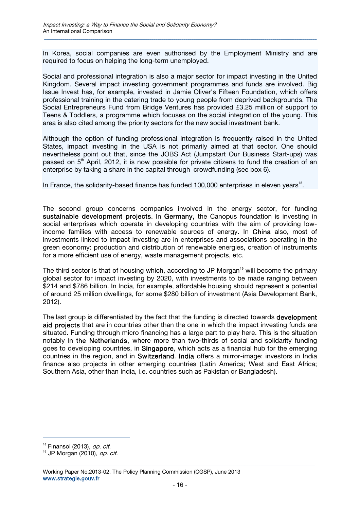In Korea, social companies are even authorised by the Employment Ministry and are required to focus on helping the long-term unemployed.

*\_\_\_\_\_\_\_\_\_\_\_\_\_\_\_\_\_\_\_\_\_\_\_\_\_\_\_\_\_\_\_\_\_\_\_\_\_\_\_\_\_\_\_\_\_\_\_\_\_\_\_\_\_\_\_\_\_\_\_\_\_\_\_\_\_\_\_\_\_\_\_\_\_\_\_\_\_\_\_\_\_\_\_\_\_\_\_\_\_\_\_\_\_\_\_\_\_\_\_\_\_\_\_\_\_\_\_\_\_\_\_\_\_\_\_\_\_\_\_\_\_\_\_\_\_\_\_\_\_\_\_\_\_\_\_*

Social and professional integration is also a major sector for impact investing in the United Kingdom. Several impact investing government programmes and funds are involved. Big Issue Invest has, for example, invested in Jamie Oliver's Fifteen Foundation, which offers professional training in the catering trade to young people from deprived backgrounds. The Social Entrepreneurs Fund from Bridge Ventures has provided £3.25 million of support to Teens & Toddlers, a programme which focuses on the social integration of the young. This area is also cited among the priority sectors for the new social investment bank.

Although the option of funding professional integration is frequently raised in the United States, impact investing in the USA is not primarily aimed at that sector. One should nevertheless point out that, since the JOBS Act (Jumpstart Our Business Start-ups) was passed on 5<sup>th</sup> April, 2012, it is now possible for private citizens to fund the creation of an enterprise by taking a share in the capital through crowdfunding (see box 6).

In France, the solidarity-based finance has funded 100,000 enterprises in eleven years $^{\text{18}}$ .

The second group concerns companies involved in the energy sector, for funding sustainable development projects. In Germany, the Canopus foundation is investing in social enterprises which operate in developing countries with the aim of providing lowincome families with access to renewable sources of energy. In China also, most of investments linked to impact investing are in enterprises and associations operating in the green economy: production and distribution of renewable energies, creation of instruments for a more efficient use of energy, waste management projects, etc.

The third sector is that of housing which, according to JP Morgan<sup>19</sup> will become the primary global sector for impact investing by 2020, with investments to be made ranging between \$214 and \$786 billion. In India, for example, affordable housing should represent a potential of around 25 million dwellings, for some \$280 billion of investment (Asia Development Bank, 2012).

The last group is differentiated by the fact that the funding is directed towards **development** aid projects that are in countries other than the one in which the impact investing funds are situated. Funding through micro financing has a large part to play here. This is the situation notably in the Netherlands, where more than two-thirds of social and solidarity funding goes to developing countries, in Singapore, which acts as a financial hub for the emerging countries in the region, and in Switzerland. India offers a mirror-image: investors in India finance also projects in other emerging countries (Latin America; West and East Africa; Southern Asia, other than India, i.e. countries such as Pakistan or Bangladesh).

 

 $18$  Finansol (2013), op. cit.

 $19$  JP Morgan (2010), op. cit.

Working Paper No.2013-02, The Policy Planning Commission (CGSP), June 2013 www.strategie.gouv.fr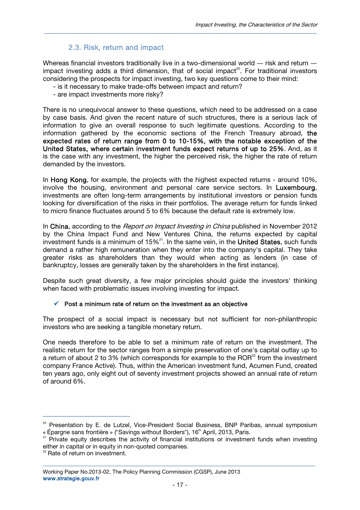## 2.3. Risk, return and impact

Whereas financial investors traditionally live in a two-dimensional world — risk and return impact investing adds a third dimension, that of social impact<sup>20</sup>. For traditional investors considering the prospects for impact investing, two key questions come to their mind:

*\_\_\_\_\_\_\_\_\_\_\_\_\_\_\_\_\_\_\_\_\_\_\_\_\_\_\_\_\_\_\_\_\_\_\_\_\_\_\_\_\_\_\_\_\_\_\_\_\_\_\_\_\_\_\_\_\_\_\_\_\_\_\_\_\_\_\_\_\_\_\_\_\_\_\_\_\_\_\_\_\_\_\_\_\_\_\_\_\_\_\_\_\_\_\_\_\_\_\_\_\_\_\_\_\_\_\_\_\_\_\_\_\_\_\_\_\_\_\_\_\_\_\_\_\_\_\_\_\_\_\_\_\_\_\_*

- is it necessary to make trade-offs between impact and return?
- are impact investments more risky?

There is no unequivocal answer to these questions, which need to be addressed on a case by case basis. And given the recent nature of such structures, there is a serious lack of information to give an overall response to such legitimate questions. According to the information gathered by the economic sections of the French Treasury abroad, the expected rates of return range from 0 to 10-15%, with the notable exception of the United States, where certain investment funds expect returns of up to 25%. And, as it is the case with any investment, the higher the perceived risk, the higher the rate of return demanded by the investors.

In Hong Kong, for example, the projects with the highest expected returns - around 10%, involve the housing, environment and personal care service sectors. In Luxembourg, investments are often long-term arrangements by institutional investors or pension funds looking for diversification of the risks in their portfolios. The average return for funds linked to micro finance fluctuates around 5 to 6% because the default rate is extremely low.

In China, according to the *Report on Impact Investing in China* published in November 2012 by the China Impact Fund and New Ventures China, the returns expected by capital in the same community materials in the same vein, in the United States, such funds investment funds is a minimum of  $15\%$ <sup>21</sup>. In the same vein, in the United States, such funds demand a rather high remuneration when they enter into the company's capital. They take greater risks as shareholders than they would when acting as lenders (in case of bankruptcy, losses are generally taken by the shareholders in the first instance).

Despite such great diversity, a few major principles should guide the investors' thinking when faced with problematic issues involving investing for impact.

#### $\checkmark$  Post a minimum rate of return on the investment as an objective

The prospect of a social impact is necessary but not sufficient for non-philanthropic investors who are seeking a tangible monetary return.

One needs therefore to be able to set a minimum rate of return on the investment. The realistic return for the sector ranges from a simple preservation of one's capital outlay up to a return of about 2 to 3% (which corresponds for example to the ROR<sup>22</sup> from the investment company France Active). Thus, within the American investment fund, Acumen Fund, created ten years ago, only eight out of seventy investment projects showed an annual rate of return of around 6%.

\_\_\_\_\_\_\_\_\_\_\_\_\_\_\_\_\_\_\_\_\_\_\_\_\_\_\_\_\_\_\_\_\_\_\_\_\_\_\_\_\_\_\_\_\_\_\_\_\_\_\_\_\_\_\_\_\_\_\_\_\_\_\_\_\_\_\_\_\_\_\_\_\_\_\_\_\_\_\_\_\_\_\_\_\_\_\_\_\_\_\_\_\_\_\_\_\_\_\_\_\_\_\_\_\_\_\_\_\_\_\_\_\_\_\_\_\_\_\_\_\_\_\_\_\_\_\_\_\_\_\_\_\_\_\_ 

 

<sup>&</sup>lt;sup>20</sup> Presentation by E. de Lutzel, Vice-President Social Business, BNP Paribas, annual symposium « Épargne sans frontière » ("Savings without Borders"), 16<sup>th</sup> April, 2013, Paris.<br><sup>21</sup> Private equity describes the activity of financial institutions or investment funds when investing

either in capital or in equity in non-quoted companies.

<sup>&</sup>lt;sup>22</sup> Rate of return on investment.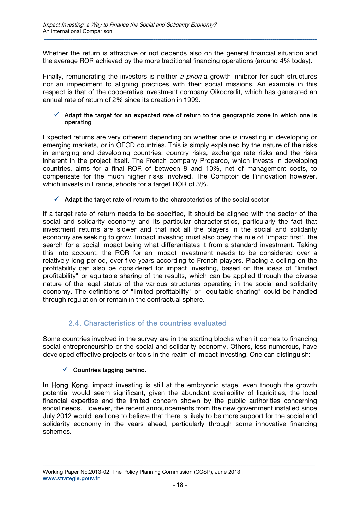Whether the return is attractive or not depends also on the general financial situation and the average ROR achieved by the more traditional financing operations (around 4% today).

*\_\_\_\_\_\_\_\_\_\_\_\_\_\_\_\_\_\_\_\_\_\_\_\_\_\_\_\_\_\_\_\_\_\_\_\_\_\_\_\_\_\_\_\_\_\_\_\_\_\_\_\_\_\_\_\_\_\_\_\_\_\_\_\_\_\_\_\_\_\_\_\_\_\_\_\_\_\_\_\_\_\_\_\_\_\_\_\_\_\_\_\_\_\_\_\_\_\_\_\_\_\_\_\_\_\_\_\_\_\_\_\_\_\_\_\_\_\_\_\_\_\_\_\_\_\_\_\_\_\_\_\_\_\_\_*

Finally, remunerating the investors is neither a priori a growth inhibitor for such structures nor an impediment to aligning practices with their social missions. An example in this respect is that of the cooperative investment company Oikocredit, which has generated an annual rate of return of 2% since its creation in 1999.

#### $\checkmark$  Adapt the target for an expected rate of return to the geographic zone in which one is operating

Expected returns are very different depending on whether one is investing in developing or emerging markets, or in OECD countries. This is simply explained by the nature of the risks in emerging and developing countries: country risks, exchange rate risks and the risks inherent in the project itself. The French company Proparco, which invests in developing countries, aims for a final ROR of between 8 and 10%, net of management costs, to compensate for the much higher risks involved. The Comptoir de l'innovation however, which invests in France, shoots for a target ROR of 3%.

#### $\checkmark$  Adapt the target rate of return to the characteristics of the social sector

If a target rate of return needs to be specified, it should be aligned with the sector of the social and solidarity economy and its particular characteristics, particularly the fact that investment returns are slower and that not all the players in the social and solidarity economy are seeking to grow. Impact investing must also obey the rule of "impact first", the search for a social impact being what differentiates it from a standard investment. Taking this into account, the ROR for an impact investment needs to be considered over a relatively long period, over five years according to French players. Placing a ceiling on the profitability can also be considered for impact investing, based on the ideas of "limited profitability" or equitable sharing of the results, which can be applied through the diverse nature of the legal status of the various structures operating in the social and solidarity economy. The definitions of "limited profitability" or "equitable sharing" could be handled through regulation or remain in the contractual sphere.

#### 2.4. Characteristics of the countries evaluated

Some countries involved in the survey are in the starting blocks when it comes to financing social entrepreneurship or the social and solidarity economy. Others, less numerous, have developed effective projects or tools in the realm of impact investing. One can distinguish:

#### $\checkmark$  Countries lagging behind.

In Hong Kong, impact investing is still at the embryonic stage, even though the growth potential would seem significant, given the abundant availability of liquidities, the local financial expertise and the limited concern shown by the public authorities concerning social needs. However, the recent announcements from the new government installed since July 2012 would lead one to believe that there is likely to be more support for the social and solidarity economy in the years ahead, particularly through some innovative financing schemes.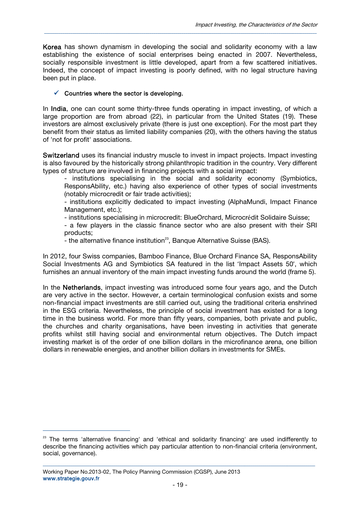Korea has shown dynamism in developing the social and solidarity economy with a law establishing the existence of social enterprises being enacted in 2007. Nevertheless, socially responsible investment is little developed, apart from a few scattered initiatives. Indeed, the concept of impact investing is poorly defined, with no legal structure having been put in place.

*\_\_\_\_\_\_\_\_\_\_\_\_\_\_\_\_\_\_\_\_\_\_\_\_\_\_\_\_\_\_\_\_\_\_\_\_\_\_\_\_\_\_\_\_\_\_\_\_\_\_\_\_\_\_\_\_\_\_\_\_\_\_\_\_\_\_\_\_\_\_\_\_\_\_\_\_\_\_\_\_\_\_\_\_\_\_\_\_\_\_\_\_\_\_\_\_\_\_\_\_\_\_\_\_\_\_\_\_\_\_\_\_\_\_\_\_\_\_\_\_\_\_\_\_\_\_\_\_\_\_\_\_\_\_\_*

#### $\checkmark$  Countries where the sector is developing.

In India, one can count some thirty-three funds operating in impact investing, of which a large proportion are from abroad (22), in particular from the United States (19). These investors are almost exclusively private (there is just one exception). For the most part they benefit from their status as limited liability companies (20), with the others having the status of 'not for profit' associations.

Switzerland uses its financial industry muscle to invest in impact projects. Impact investing is also favoured by the historically strong philanthropic tradition in the country. Very different types of structure are involved in financing projects with a social impact:

- institutions specialising in the social and solidarity economy (Symbiotics, ResponsAbility, etc.) having also experience of other types of social investments (notably microcredit or fair trade activities);

- institutions explicitly dedicated to impact investing (AlphaMundi, Impact Finance Management, etc.);

- institutions specialising in microcredit: BlueOrchard, Microcrédit Solidaire Suisse;

- a few players in the classic finance sector who are also present with their SRI products;

 $-$  the alternative finance institution<sup>23</sup>, Banque Alternative Suisse (BAS).

In 2012, four Swiss companies, Bamboo Finance, Blue Orchard Finance SA, ResponsAbility Social Investments AG and Symbiotics SA featured in the list 'Impact Assets 50', which furnishes an annual inventory of the main impact investing funds around the world (frame 5).

In the Netherlands, impact investing was introduced some four years ago, and the Dutch are very active in the sector. However, a certain terminological confusion exists and some non-financial impact investments are still carried out, using the traditional criteria enshrined in the ESG criteria. Nevertheless, the principle of social investment has existed for a long time in the business world. For more than fifty years, companies, both private and public, the churches and charity organisations, have been investing in activities that generate profits whilst still having social and environmental return objectives. The Dutch impact investing market is of the order of one billion dollars in the microfinance arena, one billion dollars in renewable energies, and another billion dollars in investments for SMEs.

\_\_\_\_\_\_\_\_\_\_\_\_\_\_\_\_\_\_\_\_\_\_\_\_\_\_\_\_\_\_\_\_\_\_\_\_\_\_\_\_\_\_\_\_\_\_\_\_\_\_\_\_\_\_\_\_\_\_\_\_\_\_\_\_\_\_\_\_\_\_\_\_\_\_\_\_\_\_\_\_\_\_\_\_\_\_\_\_\_\_\_\_\_\_\_\_\_\_\_\_\_\_\_\_\_\_\_\_\_\_\_\_\_\_\_\_\_\_\_\_\_\_\_\_\_\_\_\_\_\_\_\_\_\_\_ 

 

 $23$  The terms 'alternative financing' and 'ethical and solidarity financing' are used indifferently to describe the financing activities which pay particular attention to non-financial criteria (environment, social, governance).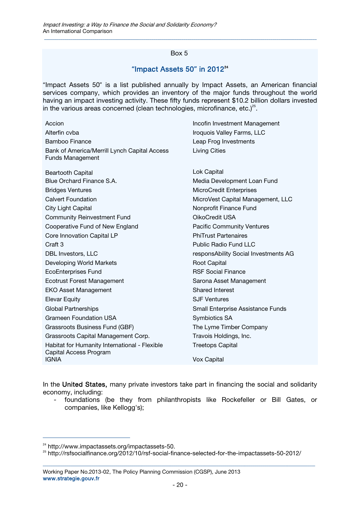#### Box 5

*\_\_\_\_\_\_\_\_\_\_\_\_\_\_\_\_\_\_\_\_\_\_\_\_\_\_\_\_\_\_\_\_\_\_\_\_\_\_\_\_\_\_\_\_\_\_\_\_\_\_\_\_\_\_\_\_\_\_\_\_\_\_\_\_\_\_\_\_\_\_\_\_\_\_\_\_\_\_\_\_\_\_\_\_\_\_\_\_\_\_\_\_\_\_\_\_\_\_\_\_\_\_\_\_\_\_\_\_\_\_\_\_\_\_\_\_\_\_\_\_\_\_\_\_\_\_\_\_\_\_\_\_\_\_\_*

#### **"**Impact Assets 50**"** in 201224

"Impact Assets 50" is a list published annually by Impact Assets, an American financial services company, which provides an inventory of the major funds throughout the world having an impact investing activity. These fifty funds represent \$10.2 billion dollars invested in the various areas concerned (clean technologies, microfinance, etc.) $25$ .

| Accion                                                                  | Incofin Investment Management        |  |
|-------------------------------------------------------------------------|--------------------------------------|--|
| Alterfin cyba                                                           | Iroquois Valley Farms, LLC           |  |
| Bamboo Finance                                                          | Leap Frog Investments                |  |
| Bank of America/Merrill Lynch Capital Access<br><b>Funds Management</b> | <b>Living Cities</b>                 |  |
| <b>Beartooth Capital</b>                                                | Lok Capital                          |  |
| Blue Orchard Finance S.A.                                               | Media Development Loan Fund          |  |
| <b>Bridges Ventures</b>                                                 | MicroCredit Enterprises              |  |
| <b>Calvert Foundation</b>                                               | MicroVest Capital Management, LLC    |  |
| City Light Capital                                                      | Nonprofit Finance Fund               |  |
| <b>Community Reinvestment Fund</b>                                      | OikoCredit USA                       |  |
| Cooperative Fund of New England                                         | <b>Pacific Community Ventures</b>    |  |
| Core Innovation Capital LP                                              | <b>PhiTrust Partenaires</b>          |  |
| Craft 3                                                                 | <b>Public Radio Fund LLC</b>         |  |
| <b>DBL Investors, LLC</b>                                               | responsAbility Social Investments AG |  |
| Developing World Markets                                                | Root Capital                         |  |
| <b>RSF Social Finance</b><br><b>EcoEnterprises Fund</b>                 |                                      |  |
| <b>Ecotrust Forest Management</b><br>Sarona Asset Management            |                                      |  |
| <b>EKO Asset Management</b>                                             | Shared Interest                      |  |
| <b>Elevar Equity</b>                                                    | <b>SJF Ventures</b>                  |  |
| <b>Global Partnerships</b>                                              | Small Enterprise Assistance Funds    |  |
| <b>Grameen Foundation USA</b>                                           | Symbiotics SA                        |  |
| Grassroots Business Fund (GBF)                                          | The Lyme Timber Company              |  |
| Grassroots Capital Management Corp.                                     | Travois Holdings, Inc.               |  |
| Habitat for Humanity International - Flexible<br>Capital Access Program | <b>Treetops Capital</b>              |  |
| <b>IGNIA</b>                                                            | <b>Vox Capital</b>                   |  |
|                                                                         |                                      |  |

In the United States, many private investors take part in financing the social and solidarity economy, including:

- foundations (be they from philanthropists like Rockefeller or Bill Gates, or companies, like Kellogg's);

 

Working Paper No.2013-02, The Policy Planning Commission (CGSP), June 2013 www.strategie.gouv.fr

 $24$  http://www.impactassets.org/impactassets-50.<br> $25$  http://rsfsocialfinance.org/2012/10/rsf-social-finance-selected-for-the-impactassets-50-2012/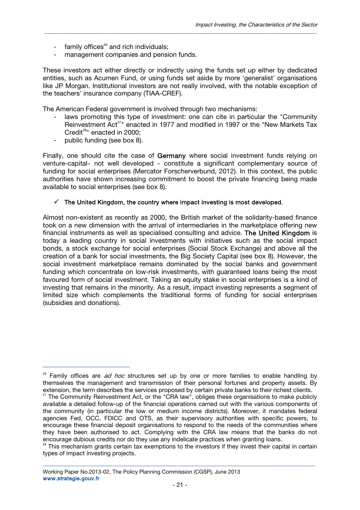- family offices $^{26}$  and rich individuals;
- management companies and pension funds.

These investors act either directly or indirectly using the funds set up either by dedicated entities, such as Acumen Fund, or using funds set aside by more 'generalist' organisations like JP Morgan. Institutional investors are not really involved, with the notable exception of the teachers' insurance company (TIAA-CREF).

*\_\_\_\_\_\_\_\_\_\_\_\_\_\_\_\_\_\_\_\_\_\_\_\_\_\_\_\_\_\_\_\_\_\_\_\_\_\_\_\_\_\_\_\_\_\_\_\_\_\_\_\_\_\_\_\_\_\_\_\_\_\_\_\_\_\_\_\_\_\_\_\_\_\_\_\_\_\_\_\_\_\_\_\_\_\_\_\_\_\_\_\_\_\_\_\_\_\_\_\_\_\_\_\_\_\_\_\_\_\_\_\_\_\_\_\_\_\_\_\_\_\_\_\_\_\_\_\_\_\_\_\_\_\_\_*

The American Federal government is involved through two mechanisms:

- laws promoting this type of investment: one can cite in particular the "Community" Reinvestment Act<sup>27</sup>" enacted in 1977 and modified in 1997 or the "New Markets Tax Credit<sup>28</sup>" enacted in 2000:
- public funding (see box 8).

 

Finally, one should cite the case of Germany where social investment funds relying on venture-capital– not well developed – constitute a significant complementary source of funding for social enterprises (Mercator Forscherverbund, 2012). In this context, the public authorities have shown increasing commitment to boost the private financing being made available to social enterprises (see box 8).

#### $\checkmark$  The United Kingdom, the country where impact investing is most developed.

Almost non-existent as recently as 2000, the British market of the solidarity-based finance took on a new dimension with the arrival of intermediaries in the marketplace offering new financial instruments as well as specialised consulting and advice. The United Kingdom is today a leading country in social investments with initiatives such as the social impact bonds, a stock exchange for social enterprises (Social Stock Exchange) and above all the creation of a bank for social investments, the Big Society Capital (see box 8). However, the social investment marketplace remains dominated by the social banks and government funding which concentrate on low-risk investments, with guaranteed loans being the most favoured form of social investment. Taking an equity stake in social enterprises is a kind of investing that remains in the minority. As a result, impact investing represents a segment of limited size which complements the traditional forms of funding for social enterprises (subsidies and donations).

 $26$  Family offices are *ad hoc* structures set up by one or more families to enable handling by themselves the management and transmission of their personal fortunes and property assets. By

extension, the term describes the services proposed by certain private banks to their richest clients.<br><sup>27</sup> The Community Reinvestment Act, or the "CRA law", obliges these organisations to make publicly available a detailed follow-up of the financial operations carried out with the various components of the community (in particular the low or medium income districts). Moreover, it mandates federal agencies Fed, OCC, FDICC and OTS, as their supervisory authorities with specific powers, to encourage these financial deposit organisations to respond to the needs of the communities where they have been authorised to act. Complying with the CRA law means that the banks do not encourage dubious credits nor do they use any indelicate practices when granting loans.

<sup>&</sup>lt;sup>28</sup> This mechanism grants certain tax exemptions to the investors if they invest their capital in certain types of impact investing projects.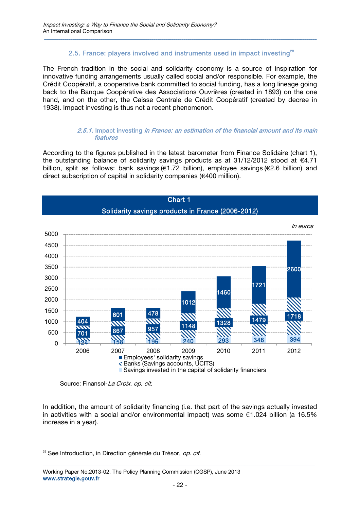#### 2.5. France: players involved and instruments used in impact investing $^{29}$

*\_\_\_\_\_\_\_\_\_\_\_\_\_\_\_\_\_\_\_\_\_\_\_\_\_\_\_\_\_\_\_\_\_\_\_\_\_\_\_\_\_\_\_\_\_\_\_\_\_\_\_\_\_\_\_\_\_\_\_\_\_\_\_\_\_\_\_\_\_\_\_\_\_\_\_\_\_\_\_\_\_\_\_\_\_\_\_\_\_\_\_\_\_\_\_\_\_\_\_\_\_\_\_\_\_\_\_\_\_\_\_\_\_\_\_\_\_\_\_\_\_\_\_\_\_\_\_\_\_\_\_\_\_\_\_*

The French tradition in the social and solidarity economy is a source of inspiration for innovative funding arrangements usually called social and/or responsible. For example, the Crédit Coopératif, a cooperative bank committed to social funding, has a long lineage going back to the Banque Coopérative des Associations Ouvrières (created in 1893) on the one hand, and on the other, the Caisse Centrale de Crédit Coopératif (created by decree in 1938). Impact investing is thus not a recent phenomenon.

#### 2.5.1. Impact investing in France: an estimation of the financial amount and its main features

According to the figures published in the latest barometer from Finance Solidaire (chart 1), the outstanding balance of solidarity savings products as at 31/12/2012 stood at €4.71 billion, split as follows: bank savings (€1.72 billion), employee savings (€2.6 billion) and direct subscription of capital in solidarity companies (€400 million).



Source: Finansol-La Croix, op. cit.

 

In addition, the amount of solidarity financing (i.e. that part of the savings actually invested in activities with a social and/or environmental impact) was some  $\epsilon$ 1.024 billion (a 16.5% increase in a year).

 $29$  See Introduction, in Direction générale du Trésor, op. cit.

Working Paper No.2013-02, The Policy Planning Commission (CGSP), June 2013 www.strategie.gouv.fr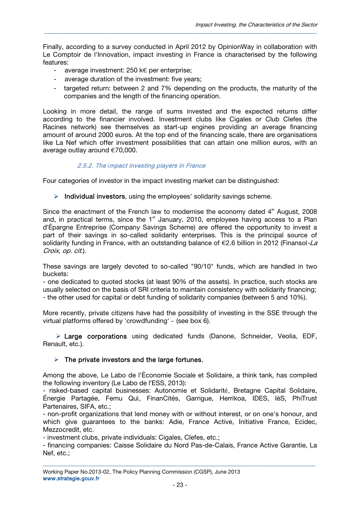Finally, according to a survey conducted in April 2012 by OpinionWay in collaboration with Le Comptoir de l'Innovation, impact investing in France is characterised by the following features:

*\_\_\_\_\_\_\_\_\_\_\_\_\_\_\_\_\_\_\_\_\_\_\_\_\_\_\_\_\_\_\_\_\_\_\_\_\_\_\_\_\_\_\_\_\_\_\_\_\_\_\_\_\_\_\_\_\_\_\_\_\_\_\_\_\_\_\_\_\_\_\_\_\_\_\_\_\_\_\_\_\_\_\_\_\_\_\_\_\_\_\_\_\_\_\_\_\_\_\_\_\_\_\_\_\_\_\_\_\_\_\_\_\_\_\_\_\_\_\_\_\_\_\_\_\_\_\_\_\_\_\_\_\_\_\_*

- average investment: 250  $k \in \mathbb{R}$  per enterprise;
- average duration of the investment: five years;
- targeted return: between 2 and 7% depending on the products, the maturity of the companies and the length of the financing operation.

Looking in more detail, the range of sums invested and the expected returns differ according to the financier involved. Investment clubs like Cigales or Club Clefes (the Racines network) see themselves as start-up engines providing an average financing amount of around 2000 euros. At the top end of the financing scale, there are organisations like La Nef which offer investment possibilities that can attain one million euros, with an average outlay around €70,000.

#### 2.5.2. The impact investing players in France

Four categories of investor in the impact investing market can be distinguished:

 $\triangleright$  Individual investors, using the employees' solidarity savings scheme.

Since the enactment of the French law to modernise the economy dated  $4<sup>th</sup>$  August, 2008 and, in practical terms, since the  $1<sup>st</sup>$  January, 2010, employees having access to a Plan d'Épargne Entreprise (Company Savings Scheme) are offered the opportunity to invest a part of their savings in so-called solidarity enterprises. This is the principal source of solidarity funding in France, with an outstanding balance of  $\epsilon$ 2.6 billion in 2012 (Finansol-La Croix, op. cit.).

These savings are largely devoted to so-called "90/10" funds, which are handled in two buckets:

- one dedicated to quoted stocks (at least 90% of the assets). In practice, such stocks are usually selected on the basis of SRI criteria to maintain consistency with solidarity financing; - the other used for capital or debt funding of solidarity companies (between 5 and 10%).

More recently, private citizens have had the possibility of investing in the SSE through the virtual platforms offered by 'crowdfunding' – (see box 6).

 Large corporations using dedicated funds (Danone, Schneider, Veolia, EDF, Renault, etc.).

#### $\triangleright$  The private investors and the large fortunes.

Among the above, Le Labo de l'Économie Sociale et Solidaire, a think tank, has compiled the following inventory (Le Labo de l'ESS, 2013):

- risked-based capital businesses: Autonomie et Solidarité, Bretagne Capital Solidaire, Énergie Partagée, Femu Quì, FinanCités, Garrigue, Herrikoa, IDES, IéS, PhiTrust Partenaires, SIFA, etc.;

- non-profit organizations that lend money with or without interest, or on one's honour, and which give guarantees to the banks: Adie, France Active, Initiative France, Ecidec, Mezzocredit, etc.

- investment clubs, private individuals: Cigales, Clefes, etc.;

- financing companies: Caisse Solidaire du Nord Pas-de-Calais, France Active Garantie, La Nef, etc.;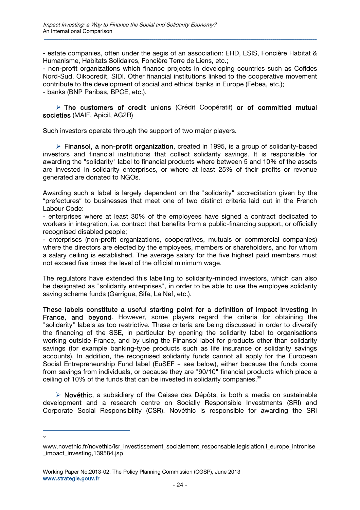- estate companies, often under the aegis of an association: EHD, ESIS, Foncière Habitat & Humanisme, Habitats Solidaires, Foncière Terre de Liens, etc.;

*\_\_\_\_\_\_\_\_\_\_\_\_\_\_\_\_\_\_\_\_\_\_\_\_\_\_\_\_\_\_\_\_\_\_\_\_\_\_\_\_\_\_\_\_\_\_\_\_\_\_\_\_\_\_\_\_\_\_\_\_\_\_\_\_\_\_\_\_\_\_\_\_\_\_\_\_\_\_\_\_\_\_\_\_\_\_\_\_\_\_\_\_\_\_\_\_\_\_\_\_\_\_\_\_\_\_\_\_\_\_\_\_\_\_\_\_\_\_\_\_\_\_\_\_\_\_\_\_\_\_\_\_\_\_\_*

- non-profit organizations which finance projects in developing countries such as Cofides Nord-Sud, Oikocredit, SIDI. Other financial institutions linked to the cooperative movement contribute to the development of social and ethical banks in Europe (Febea, etc.); - banks (BNP Paribas, BPCE, etc.).

> The customers of credit unions (Crédit Coopératif) or of committed mutual societies (MAIF, Apicil, AG2R)

Such investors operate through the support of two major players.

 Finansol, a non-profit organization, created in 1995, is a group of solidarity-based investors and financial institutions that collect solidarity savings. It is responsible for awarding the "solidarity" label to financial products where between 5 and 10% of the assets are invested in solidarity enterprises, or where at least 25% of their profits or revenue generated are donated to NGOs.

Awarding such a label is largely dependent on the "solidarity" accreditation given by the "prefectures" to businesses that meet one of two distinct criteria laid out in the French Labour Code:

- enterprises where at least 30% of the employees have signed a contract dedicated to workers in integration, i.e. contract that benefits from a public-financing support, or officially recognised disabled people;

- enterprises (non-profit organizations, cooperatives, mutuals or commercial companies) where the directors are elected by the employees, members or shareholders, and for whom a salary ceiling is established. The average salary for the five highest paid members must not exceed five times the level of the official minimum wage.

The regulators have extended this labelling to solidarity-minded investors, which can also be designated as "solidarity enterprises", in order to be able to use the employee solidarity saving scheme funds (Garrigue, Sifa, La Nef, etc.).

These labels constitute a useful starting point for a definition of impact investing in France, and beyond. However, some players regard the criteria for obtaining the "solidarity" labels as too restrictive. These criteria are being discussed in order to diversify the financing of the SSE, in particular by opening the solidarity label to organisations working outside France, and by using the Finansol label for products other than solidarity savings (for example banking-type products such as life insurance or solidarity savings accounts). In addition, the recognised solidarity funds cannot all apply for the European Social Entrepreneurship Fund label (EuSEF – see below), either because the funds come from savings from individuals, or because they are "90/10" financial products which place a ceiling of 10% of the funds that can be invested in solidarity companies.<sup>30</sup>

 $\triangleright$  Novéthic, a subsidiary of the Caisse des Dépôts, is both a media on sustainable development and a research centre on Socially Responsible Investments (SRI) and Corporate Social Responsibility (CSR). Novéthic is responsible for awarding the SRI

 $30$ 

 

www.novethic.fr/novethic/isr\_investissement\_socialement\_responsable,legislation,l\_europe\_intronise \_impact\_investing,139584.jsp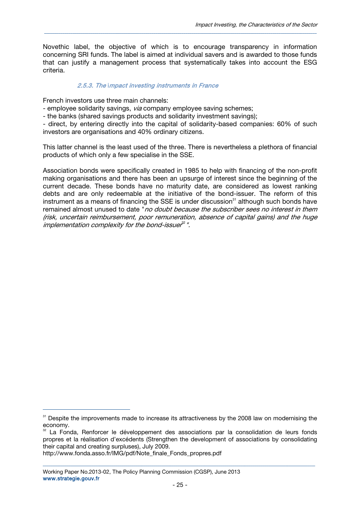Novethic label, the objective of which is to encourage transparency in information concerning SRI funds. The label is aimed at individual savers and is awarded to those funds that can justify a management process that systematically takes into account the ESG criteria.

*\_\_\_\_\_\_\_\_\_\_\_\_\_\_\_\_\_\_\_\_\_\_\_\_\_\_\_\_\_\_\_\_\_\_\_\_\_\_\_\_\_\_\_\_\_\_\_\_\_\_\_\_\_\_\_\_\_\_\_\_\_\_\_\_\_\_\_\_\_\_\_\_\_\_\_\_\_\_\_\_\_\_\_\_\_\_\_\_\_\_\_\_\_\_\_\_\_\_\_\_\_\_\_\_\_\_\_\_\_\_\_\_\_\_\_\_\_\_\_\_\_\_\_\_\_\_\_\_\_\_\_\_\_\_\_*

#### 2.5.3. The impact investing instruments in France

French investors use three main channels:

- employee solidarity savings, *via* company employee saving schemes;

- the banks (shared savings products and solidarity investment savings);

- direct, by entering directly into the capital of solidarity-based companies: 60% of such investors are organisations and 40% ordinary citizens.

This latter channel is the least used of the three. There is nevertheless a plethora of financial products of which only a few specialise in the SSE.

Association bonds were specifically created in 1985 to help with financing of the non-profit making organisations and there has been an upsurge of interest since the beginning of the current decade. These bonds have no maturity date, are considered as lowest ranking debts and are only redeemable at the initiative of the bond-issuer. The reform of this instrument as a means of financing the SSE is under discussion<sup>31</sup> although such bonds have remained almost unused to date "no doubt because the subscriber sees no interest in them (risk, uncertain reimbursement, poor remuneration, absence of capital gains) and the huge implementation complexity for the bond-issue $i^{32}$ ".

 

<sup>&</sup>lt;sup>31</sup> Despite the improvements made to increase its attractiveness by the 2008 law on modernising the economy.

La Fonda, Renforcer le développement des associations par la consolidation de leurs fonds propres et la réalisation d'excédents (Strengthen the development of associations by consolidating their capital and creating surpluses), July 2009.

http://www.fonda.asso.fr/IMG/pdf/Note\_finale\_Fonds\_propres.pdf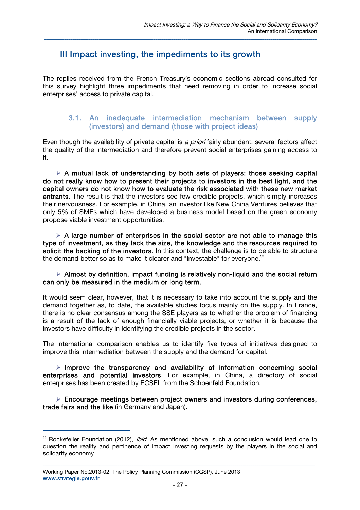# III Impact investing, the impediments to its growth

The replies received from the French Treasury's economic sections abroad consulted for this survey highlight three impediments that need removing in order to increase social enterprises' access to private capital.

*\_\_\_\_\_\_\_\_\_\_\_\_\_\_\_\_\_\_\_\_\_\_\_\_\_\_\_\_\_\_\_\_\_\_\_\_\_\_\_\_\_\_\_\_\_\_\_\_\_\_\_\_\_\_\_\_\_\_\_\_\_\_\_\_\_\_\_\_\_\_\_\_\_\_\_\_\_\_\_\_\_\_\_\_\_\_\_\_\_\_\_\_\_\_\_\_\_\_\_\_\_\_\_\_\_\_\_\_\_\_\_\_\_\_\_\_\_\_\_\_\_\_\_\_\_\_\_\_\_\_\_\_\_\_\_*

#### 3.1. An inadequate intermediation mechanism between supply (investors) and demand (those with project ideas)

Even though the availability of private capital is a priori fairly abundant, several factors affect the quality of the intermediation and therefore prevent social enterprises gaining access to it.

 $\triangleright$  A mutual lack of understanding by both sets of players: those seeking capital do not really know how to present their projects to investors in the best light, and the capital owners do not know how to evaluate the risk associated with these new market entrants. The result is that the investors see few credible projects, which simply increases their nervousness. For example, in China, an investor like New China Ventures believes that only 5% of SMEs which have developed a business model based on the green economy propose viable investment opportunities.

 $\triangleright$  A large number of enterprises in the social sector are not able to manage this type of investment, as they lack the size, the knowledge and the resources required to solicit the backing of the investors. In this context, the challenge is to be able to structure the demand better so as to make it clearer and "investable" for everyone. $33$ 

#### $\triangleright$  Almost by definition, impact funding is relatively non-liquid and the social return can only be measured in the medium or long term.

It would seem clear, however, that it is necessary to take into account the supply and the demand together as, to date, the available studies focus mainly on the supply. In France, there is no clear consensus among the SSE players as to whether the problem of financing is a result of the lack of enough financially viable projects, or whether it is because the investors have difficulty in identifying the credible projects in the sector.

The international comparison enables us to identify five types of initiatives designed to improve this intermediation between the supply and the demand for capital.

 $\triangleright$  Improve the transparency and availability of information concerning social enterprises and potential investors. For example, in China, a directory of social enterprises has been created by ECSEL from the Schoenfeld Foundation.

 $\triangleright$  Encourage meetings between project owners and investors during conferences, trade fairs and the like (in Germany and Japan).

\_\_\_\_\_\_\_\_\_\_\_\_\_\_\_\_\_\_\_\_\_\_\_\_\_\_\_\_\_\_\_\_\_\_\_\_\_\_\_\_\_\_\_\_\_\_\_\_\_\_\_\_\_\_\_\_\_\_\_\_\_\_\_\_\_\_\_\_\_\_\_\_\_\_\_\_\_\_\_\_\_\_\_\_\_\_\_\_\_\_\_\_\_\_\_\_\_\_\_\_\_\_\_\_\_\_\_\_\_\_\_\_\_\_\_\_\_\_\_\_\_\_\_\_\_\_\_\_\_\_\_\_\_\_\_ 

 

<sup>&</sup>lt;sup>33</sup> Rockefeller Foundation (2012), *Ibid.* As mentioned above, such a conclusion would lead one to question the reality and pertinence of impact investing requests by the players in the social and solidarity economy.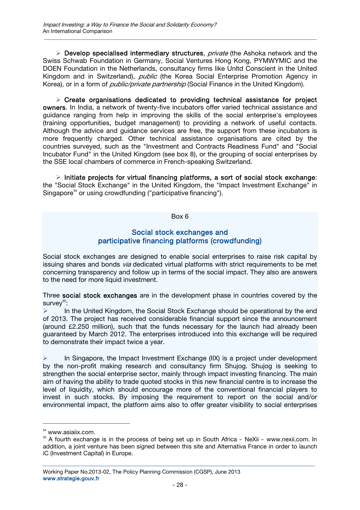$\triangleright$  Develop specialised intermediary structures, *private* (the Ashoka network and the Swiss Schwab Foundation in Germany, Social Ventures Hong Kong, PYMWYMIC and the DOEN Foundation in the Netherlands, consultancy firms like Unltd Conscient in the United Kingdom and in Switzerland), *public* (the Korea Social Enterprise Promotion Agency in Korea), or in a form of *public/private partnership* (Social Finance in the United Kingdom).

*\_\_\_\_\_\_\_\_\_\_\_\_\_\_\_\_\_\_\_\_\_\_\_\_\_\_\_\_\_\_\_\_\_\_\_\_\_\_\_\_\_\_\_\_\_\_\_\_\_\_\_\_\_\_\_\_\_\_\_\_\_\_\_\_\_\_\_\_\_\_\_\_\_\_\_\_\_\_\_\_\_\_\_\_\_\_\_\_\_\_\_\_\_\_\_\_\_\_\_\_\_\_\_\_\_\_\_\_\_\_\_\_\_\_\_\_\_\_\_\_\_\_\_\_\_\_\_\_\_\_\_\_\_\_\_*

 $\triangleright$  Create organisations dedicated to providing technical assistance for project owners. In India, a network of twenty-five incubators offer varied technical assistance and guidance ranging from help in improving the skills of the social enterprise's employees (training opportunities, budget management) to providing a network of useful contacts. Although the advice and guidance services are free, the support from these incubators is more frequently charged. Other technical assistance organisations are cited by the countries surveyed, such as the "Investment and Contracts Readiness Fund" and "Social Incubator Fund" in the United Kingdom (see box 8), or the grouping of social enterprises by the SSE local chambers of commerce in French-speaking Switzerland.

 $\triangleright$  Initiate projects for virtual financing platforms, a sort of social stock exchange: the "Social Stock Exchange" in the United Kingdom, the "Impact Investment Exchange" in Singapore<sup>34</sup> or using crowdfunding ("participative financing").

#### Box 6

#### Social stock exchanges and participative financing platforms (crowdfunding)

Social stock exchanges are designed to enable social enterprises to raise risk capital by issuing shares and bonds via dedicated virtual platforms with strict requirements to be met concerning transparency and follow up in terms of the social impact. They also are answers to the need for more liquid investment.

Three social stock exchanges are in the development phase in countries covered by the  $s$ urve $v^{35}$ :

 $\triangleright$  In the United Kingdom, the Social Stock Exchange should be operational by the end of 2013. The project has received considerable financial support since the announcement (around £2.250 million), such that the funds necessary for the launch had already been guaranteed by March 2012. The enterprises introduced into this exchange will be required to demonstrate their impact twice a year.

 $\triangleright$  In Singapore, the Impact Investment Exchange (IIX) is a project under development by the non-profit making research and consultancy firm Shujog. Shujog is seeking to strengthen the social enterprise sector, mainly through impact investing financing. The main aim of having the ability to trade quoted stocks in this new financial centre is to increase the level of liquidity, which should encourage more of the conventional financial players to invest in such stocks. By imposing the requirement to report on the social and/or environmental impact, the platform aims also to offer greater visibility to social enterprises

 

<sup>&</sup>lt;sup>34</sup> www.asiaiix.com.

 $35$  A fourth exchange is in the process of being set up in South Africa - NeXii - www.nexii.com. In addition, a joint venture has been signed between this site and Alternativa France in order to launch iC (Investment Capital) in Europe.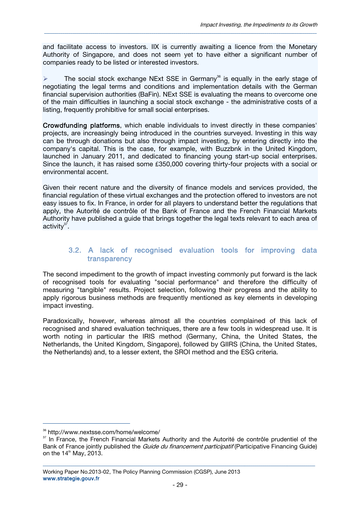and facilitate access to investors. IIX is currently awaiting a licence from the Monetary Authority of Singapore, and does not seem yet to have either a significant number of companies ready to be listed or interested investors.

*\_\_\_\_\_\_\_\_\_\_\_\_\_\_\_\_\_\_\_\_\_\_\_\_\_\_\_\_\_\_\_\_\_\_\_\_\_\_\_\_\_\_\_\_\_\_\_\_\_\_\_\_\_\_\_\_\_\_\_\_\_\_\_\_\_\_\_\_\_\_\_\_\_\_\_\_\_\_\_\_\_\_\_\_\_\_\_\_\_\_\_\_\_\_\_\_\_\_\_\_\_\_\_\_\_\_\_\_\_\_\_\_\_\_\_\_\_\_\_\_\_\_\_\_\_\_\_\_\_\_\_\_\_\_\_*

 $\triangleright$  The social stock exchange NExt SSE in Germany<sup>36</sup> is equally in the early stage of negotiating the legal terms and conditions and implementation details with the German financial supervision authorities (BaFin). NExt SSE is evaluating the means to overcome one of the main difficulties in launching a social stock exchange - the administrative costs of a listing, frequently prohibitive for small social enterprises.

Crowdfunding platforms, which enable individuals to invest directly in these companies' projects, are increasingly being introduced in the countries surveyed. Investing in this way can be through donations but also through impact investing, by entering directly into the company's capital. This is the case, for example, with Buzzbnk in the United Kingdom, launched in January 2011, and dedicated to financing young start-up social enterprises. Since the launch, it has raised some £350,000 covering thirty-four projects with a social or environmental accent.

Given their recent nature and the diversity of finance models and services provided, the financial regulation of these virtual exchanges and the protection offered to investors are not easy issues to fix. In France, in order for all players to understand better the regulations that apply, the Autorité de contrôle of the Bank of France and the French Financial Markets Authority have published a guide that brings together the legal texts relevant to each area of activity $37$ .

#### 3.2. A lack of recognised evaluation tools for improving data transparency

The second impediment to the growth of impact investing commonly put forward is the lack of recognised tools for evaluating "social performance" and therefore the difficulty of measuring "tangible" results. Project selection, following their progress and the ability to apply rigorous business methods are frequently mentioned as key elements in developing impact investing.

Paradoxically, however, whereas almost all the countries complained of this lack of recognised and shared evaluation techniques, there are a few tools in widespread use. It is worth noting in particular the IRIS method (Germany, China, the United States, the Netherlands, the United Kingdom, Singapore), followed by GIIRS (China, the United States, the Netherlands) and, to a lesser extent, the SROI method and the ESG criteria.

 

<sup>&</sup>lt;sup>36</sup> http://www.nextsse.com/home/welcome/<br><sup>37</sup> In France, the French Financial Markets Authority and the Autorité de contrôle prudentiel of the Bank of France jointly published the Guide du financement participatif (Participative Financing Guide) on the  $14<sup>th</sup>$  May, 2013.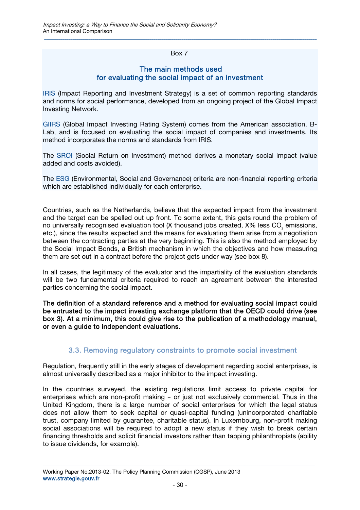#### Box 7

*\_\_\_\_\_\_\_\_\_\_\_\_\_\_\_\_\_\_\_\_\_\_\_\_\_\_\_\_\_\_\_\_\_\_\_\_\_\_\_\_\_\_\_\_\_\_\_\_\_\_\_\_\_\_\_\_\_\_\_\_\_\_\_\_\_\_\_\_\_\_\_\_\_\_\_\_\_\_\_\_\_\_\_\_\_\_\_\_\_\_\_\_\_\_\_\_\_\_\_\_\_\_\_\_\_\_\_\_\_\_\_\_\_\_\_\_\_\_\_\_\_\_\_\_\_\_\_\_\_\_\_\_\_\_\_*

#### The main methods used for evaluating the social impact of an investment

IRIS (Impact Reporting and Investment Strategy) is a set of common reporting standards and norms for social performance, developed from an ongoing project of the Global Impact Investing Network.

GIIRS (Global Impact Investing Rating System) comes from the American association, B-Lab, and is focused on evaluating the social impact of companies and investments. Its method incorporates the norms and standards from IRIS.

The SROI (Social Return on Investment) method derives a monetary social impact (value added and costs avoided).

The ESG (Environmental, Social and Governance) criteria are non-financial reporting criteria which are established individually for each enterprise.

Countries, such as the Netherlands, believe that the expected impact from the investment and the target can be spelled out up front. To some extent, this gets round the problem of no universally recognised evaluation tool (X thousand jobs created, X% less CO<sub>2</sub> emissions, etc.), since the results expected and the means for evaluating them arise from a negotiation between the contracting parties at the very beginning. This is also the method employed by the Social Impact Bonds, a British mechanism in which the objectives and how measuring them are set out in a contract before the project gets under way (see box 8).

In all cases, the legitimacy of the evaluator and the impartiality of the evaluation standards will be two fundamental criteria required to reach an agreement between the interested parties concerning the social impact.

The definition of a standard reference and a method for evaluating social impact could be entrusted to the impact investing exchange platform that the OECD could drive (see box 3). At a minimum, this could give rise to the publication of a methodology manual, or even a guide to independent evaluations.

#### 3.3. Removing regulatory constraints to promote social investment

Regulation, frequently still in the early stages of development regarding social enterprises, is almost universally described as a major inhibitor to the impact investing.

In the countries surveyed, the existing regulations limit access to private capital for enterprises which are non-profit making – or just not exclusively commercial. Thus in the United Kingdom, there is a large number of social enterprises for which the legal status does not allow them to seek capital or quasi-capital funding (unincorporated charitable trust, company limited by guarantee, charitable status). In Luxembourg, non-profit making social associations will be required to adopt a new status if they wish to break certain financing thresholds and solicit financial investors rather than tapping philanthropists (ability to issue dividends, for example).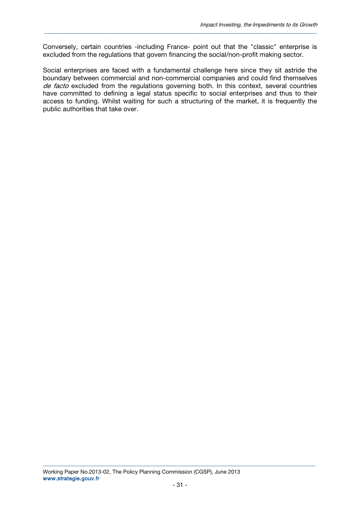Conversely, certain countries -including France- point out that the "classic" enterprise is excluded from the regulations that govern financing the social/non-profit making sector.

*\_\_\_\_\_\_\_\_\_\_\_\_\_\_\_\_\_\_\_\_\_\_\_\_\_\_\_\_\_\_\_\_\_\_\_\_\_\_\_\_\_\_\_\_\_\_\_\_\_\_\_\_\_\_\_\_\_\_\_\_\_\_\_\_\_\_\_\_\_\_\_\_\_\_\_\_\_\_\_\_\_\_\_\_\_\_\_\_\_\_\_\_\_\_\_\_\_\_\_\_\_\_\_\_\_\_\_\_\_\_\_\_\_\_\_\_\_\_\_\_\_\_\_\_\_\_\_\_\_\_\_\_\_\_\_*

Social enterprises are faced with a fundamental challenge here since they sit astride the boundary between commercial and non-commercial companies and could find themselves de facto excluded from the regulations governing both. In this context, several countries have committed to defining a legal status specific to social enterprises and thus to their access to funding. Whilst waiting for such a structuring of the market, it is frequently the public authorities that take over.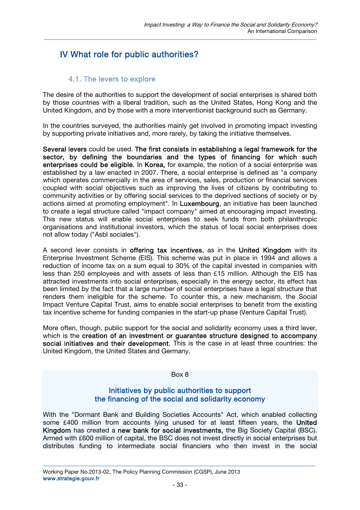# IV What role for public authorities?

#### 4.1. The levers to explore

The desire of the authorities to support the development of social enterprises is shared both by those countries with a liberal tradition, such as the United States, Hong Kong and the United Kingdom, and by those with a more interventionist background such as Germany.

*\_\_\_\_\_\_\_\_\_\_\_\_\_\_\_\_\_\_\_\_\_\_\_\_\_\_\_\_\_\_\_\_\_\_\_\_\_\_\_\_\_\_\_\_\_\_\_\_\_\_\_\_\_\_\_\_\_\_\_\_\_\_\_\_\_\_\_\_\_\_\_\_\_\_\_\_\_\_\_\_\_\_\_\_\_\_\_\_\_\_\_\_\_\_\_\_\_\_\_\_\_\_\_\_\_\_\_\_\_\_\_\_\_\_\_\_\_\_\_\_\_\_\_\_\_\_\_\_\_\_\_\_\_\_\_*

In the countries surveyed, the authorities mainly get involved in promoting impact investing by supporting private initiatives and, more rarely, by taking the initiative themselves.

Several levers could be used. The first consists in establishing a legal framework for the sector, by defining the boundaries and the types of financing for which such enterprises could be eligible. In Korea, for example, the notion of a social enterprise was established by a law enacted in 2007. There, a social enterprise is defined as "a company which operates commercially in the area of services, sales, production or financial services coupled with social objectives such as improving the lives of citizens by contributing to community activities or by offering social services to the deprived sections of society or by actions aimed at promoting employment". In Luxembourg, an initiative has been launched to create a legal structure called "impact company" aimed at encouraging impact investing. This new status will enable social enterprises to seek funds from both philanthropic organisations and institutional investors, which the status of local social enterprises does not allow today ("Asbl sociales").

A second lever consists in offering tax incentives, as in the United Kingdom with its Enterprise Investment Scheme (EIS). This scheme was put in place in 1994 and allows a reduction of income tax on a sum equal to 30% of the capital invested in companies with less than 250 employees and with assets of less than  $£15$  million. Although the EIS has attracted investments into social enterprises, especially in the energy sector, its effect has been limited by the fact that a large number of social enterprises have a legal structure that renders them ineligible for the scheme. To counter this, a new mechanism, the Social Impact Venture Capital Trust, aims to enable social enterprises to benefit from the existing tax incentive scheme for funding companies in the start-up phase (Venture Capital Trust).

More often, though, public support for the social and solidarity economy uses a third lever, which is the creation of an investment or guarantee structure designed to accompany social initiatives and their development. This is the case in at least three countries: the United Kingdom, the United States and Germany.

#### Box 8

#### Initiatives by public authorities to support the financing of the social and solidarity economy

With the "Dormant Bank and Building Societies Accounts" Act, which enabled collecting some £400 million from accounts lying unused for at least fifteen years, the United Kingdom has created a new bank for social investments, the Big Society Capital (BSC). Armed with £600 million of capital, the BSC does not invest directly in social enterprises but distributes funding to intermediate social financiers who then invest in the social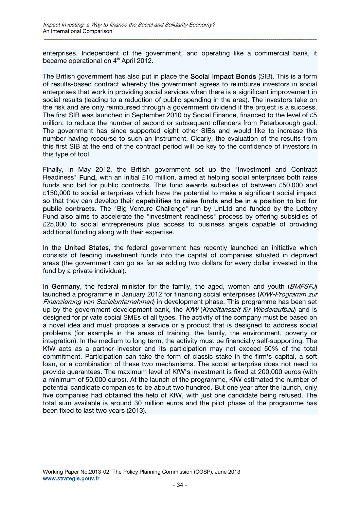enterprises. Independent of the government, and operating like a commercial bank, it became operational on 4<sup>th</sup> April 2012.

*\_\_\_\_\_\_\_\_\_\_\_\_\_\_\_\_\_\_\_\_\_\_\_\_\_\_\_\_\_\_\_\_\_\_\_\_\_\_\_\_\_\_\_\_\_\_\_\_\_\_\_\_\_\_\_\_\_\_\_\_\_\_\_\_\_\_\_\_\_\_\_\_\_\_\_\_\_\_\_\_\_\_\_\_\_\_\_\_\_\_\_\_\_\_\_\_\_\_\_\_\_\_\_\_\_\_\_\_\_\_\_\_\_\_\_\_\_\_\_\_\_\_\_\_\_\_\_\_\_\_\_\_\_\_\_*

The British government has also put in place the Social Impact Bonds (SIB). This is a form of results-based contract whereby the government agrees to reimburse investors in social enterprises that work in providing social services when there is a significant improvement in social results (leading to a reduction of public spending in the area). The investors take on the risk and are only reimbursed through a government dividend if the project is a success. The first SIB was launched in September 2010 by Social Finance, financed to the level of £5 million, to reduce the number of second or subsequent offenders from Peterborough gaol. The government has since supported eight other SIBs and would like to increase this number having recourse to such an instrument. Clearly, the evaluation of the results from this first SIB at the end of the contract period will be key to the confidence of investors in this type of tool.

Finally, in May 2012, the British government set up the "Investment and Contract Readiness" Fund, with an initial £10 million, aimed at helping social enterprises both raise funds and bid for public contracts. This fund awards subsidies of between £50,000 and £150,000 to social enterprises which have the potential to make a significant social impact so that they can develop their capabilities to raise funds and be in a position to bid for public contracts. The "Big Venture Challenge" run by UnLtd and funded by the Lottery Fund also aims to accelerate the "investment readiness" process by offering subsidies of £25,000 to social entrepreneurs plus access to business angels capable of providing additional funding along with their expertise.

In the United States, the federal government has recently launched an initiative which consists of feeding investment funds into the capital of companies situated in deprived areas (the government can go as far as adding two dollars for every dollar invested in the fund by a private individual).

In Germany, the federal minister for the family, the aged, women and youth  $(BMFSF)$ launched a programme in January 2012 for financing social enterprises (KfW-Programm zur Finanzierung von Sozialunternehmen) in development phase. This programme has been set up by the government development bank, the KfW (Kreditanstalt f*ü*r Wiederaufbau) and is designed for private social SMEs of all types. The activity of the company must be based on a novel idea and must propose a service or a product that is designed to address social problems (for example in the areas of training, the family, the environment, poverty or integration). In the medium to long term, the activity must be financially self-supporting. The KfW acts as a partner investor and its participation may not exceed 50% of the total commitment. Participation can take the form of classic stake in the firm's capital, a soft loan, or a combination of these two mechanisms. The social enterprise does not need to provide guarantees. The maximum level of KfW's investment is fixed at 200,000 euros (with a minimum of 50,000 euros). At the launch of the programme, KfW estimated the number of potential candidate companies to be about two hundred. But one year after the launch, only five companies had obtained the help of KfW, with just one candidate being refused. The total sum available is around 30 million euros and the pilot phase of the programme has been fixed to last two years (2013).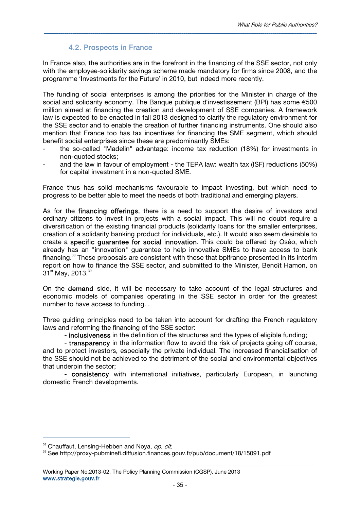## 4.2. Prospects in France

In France also, the authorities are in the forefront in the financing of the SSE sector, not only with the employee-solidarity savings scheme made mandatory for firms since 2008, and the programme 'Investments for the Future' in 2010, but indeed more recently.

*\_\_\_\_\_\_\_\_\_\_\_\_\_\_\_\_\_\_\_\_\_\_\_\_\_\_\_\_\_\_\_\_\_\_\_\_\_\_\_\_\_\_\_\_\_\_\_\_\_\_\_\_\_\_\_\_\_\_\_\_\_\_\_\_\_\_\_\_\_\_\_\_\_\_\_\_\_\_\_\_\_\_\_\_\_\_\_\_\_\_\_\_\_\_\_\_\_\_\_\_\_\_\_\_\_\_\_\_\_\_\_\_\_\_\_\_\_\_\_\_\_\_\_\_\_\_\_\_\_\_\_\_\_\_\_*

The funding of social enterprises is among the priorities for the Minister in charge of the social and solidarity economy. The Banque publique d'investissement (BPI) has some €500 million aimed at financing the creation and development of SSE companies. A framework law is expected to be enacted in fall 2013 designed to clarify the regulatory environment for the SSE sector and to enable the creation of further financing instruments. One should also mention that France too has tax incentives for financing the SME segment, which should benefit social enterprises since these are predominantly SMEs:

- the so-called "Madelin" advantage: income tax reduction (18%) for investments in non-quoted stocks;
- and the law in favour of employment the TEPA law: wealth tax (ISF) reductions (50%) for capital investment in a non-quoted SME.

France thus has solid mechanisms favourable to impact investing, but which need to progress to be better able to meet the needs of both traditional and emerging players.

As for the financing offerings, there is a need to support the desire of investors and ordinary citizens to invest in projects with a social impact. This will no doubt require a diversification of the existing financial products (solidarity loans for the smaller enterprises, creation of a solidarity banking product for individuals, etc.). It would also seem desirable to create a specific guarantee for social innovation. This could be offered by Oséo, which already has an "innovation" guarantee to help innovative SMEs to have access to bank financing.38 These proposals are consistent with those that bpifrance presented in its interim report on how to finance the SSE sector, and submitted to the Minister, Benoît Hamon, on 31<sup>st</sup> May, 2013.<sup>39</sup>

On the demand side, it will be necessary to take account of the legal structures and economic models of companies operating in the SSE sector in order for the greatest number to have access to funding. .

Three guiding principles need to be taken into account for drafting the French regulatory laws and reforming the financing of the SSE sector:

- inclusiveness in the definition of the structures and the types of eligible funding;

- transparency in the information flow to avoid the risk of projects going off course, and to protect investors, especially the private individual. The increased financialisation of the SSE should not be achieved to the detriment of the social and environmental objectives that underpin the sector;

- consistency with international initiatives, particularly European, in launching domestic French developments.

 

<sup>&</sup>lt;sup>38</sup> Chauffaut, Lensing-Hebben and Noya, op. cit.

<sup>39</sup> See http://proxy-pubminefi.diffusion.finances.gouv.fr/pub/document/18/15091.pdf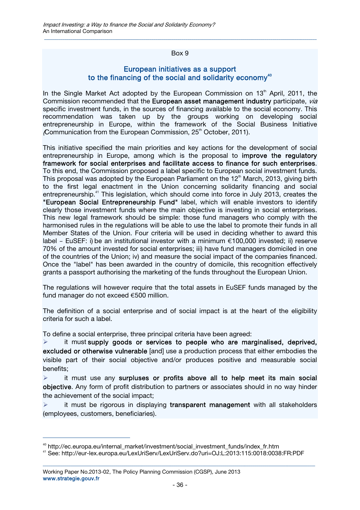Box 9

*\_\_\_\_\_\_\_\_\_\_\_\_\_\_\_\_\_\_\_\_\_\_\_\_\_\_\_\_\_\_\_\_\_\_\_\_\_\_\_\_\_\_\_\_\_\_\_\_\_\_\_\_\_\_\_\_\_\_\_\_\_\_\_\_\_\_\_\_\_\_\_\_\_\_\_\_\_\_\_\_\_\_\_\_\_\_\_\_\_\_\_\_\_\_\_\_\_\_\_\_\_\_\_\_\_\_\_\_\_\_\_\_\_\_\_\_\_\_\_\_\_\_\_\_\_\_\_\_\_\_\_\_\_\_\_*

#### European initiatives as a support to the financing of the social and solidarity economy<sup>40</sup>

In the Single Market Act adopted by the European Commission on  $13<sup>th</sup>$  April, 2011, the Commission recommended that the European asset management industry participate, via specific investment funds, in the sources of financing available to the social economy. This recommendation was taken up by the groups working on developing social entrepreneurship in Europe, within the framework of the Social Business Initiative Communication from the European Commission,  $25<sup>th</sup>$  October, 2011).

This initiative specified the main priorities and key actions for the development of social entrepreneurship in Europe, among which is the proposal to improve the regulatory framework for social enterprises and facilitate access to finance for such enterprises. To this end, the Commission proposed a label specific to European social investment funds. This proposal was adopted by the European Parliament on the  $12<sup>th</sup>$  March, 2013, giving birth to the first legal enactment in the Union concerning solidarity financing and social entrepreneurship.<sup>41</sup> This legislation, which should come into force in July 2013, creates the "European Social Entrepreneurship Fund" label, which will enable investors to identify clearly those investment funds where the main objective is investing in social enterprises. This new legal framework should be simple: those fund managers who comply with the harmonised rules in the regulations will be able to use the label to promote their funds in all Member States of the Union. Four criteria will be used in deciding whether to award this label – EuSEF: i) be an institutional investor with a minimum  $\epsilon$ 100,000 invested; ii) reserve 70% of the amount invested for social enterprises; iii) have fund managers domiciled in one of the countries of the Union; iv) and measure the social impact of the companies financed. Once the "label" has been awarded in the country of domicile, this recognition effectively grants a passport authorising the marketing of the funds throughout the European Union.

The regulations will however require that the total assets in EuSEF funds managed by the fund manager do not exceed €500 million.

The definition of a social enterprise and of social impact is at the heart of the eligibility criteria for such a label.

To define a social enterprise, three principal criteria have been agreed:

 $\triangleright$  it must supply goods or services to people who are marginalised, deprived, excluded or otherwise vulnerable [and] use a production process that either embodies the visible part of their social objective and/or produces positive and measurable social benefits;

 $\triangleright$  it must use any surpluses or profits above all to help meet its main social objective. Any form of profit distribution to partners or associates should in no way hinder the achievement of the social impact;

 it must be rigorous in displaying transparent management with all stakeholders (employees, customers, beneficiaries).

 

<sup>40</sup> http://ec.europa.eu/internal\_market/investment/social\_investment\_funds/index\_fr.htm

<sup>41</sup> See: http://eur-lex.europa.eu/LexUriServ/LexUriServ.do?uri=OJ:L:2013:115:0018:0038:FR:PDF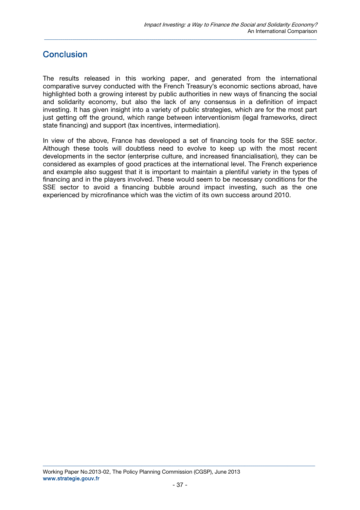# **Conclusion**

The results released in this working paper, and generated from the international comparative survey conducted with the French Treasury's economic sections abroad, have highlighted both a growing interest by public authorities in new ways of financing the social and solidarity economy, but also the lack of any consensus in a definition of impact investing. It has given insight into a variety of public strategies, which are for the most part just getting off the ground, which range between interventionism (legal frameworks, direct state financing) and support (tax incentives, intermediation).

*\_\_\_\_\_\_\_\_\_\_\_\_\_\_\_\_\_\_\_\_\_\_\_\_\_\_\_\_\_\_\_\_\_\_\_\_\_\_\_\_\_\_\_\_\_\_\_\_\_\_\_\_\_\_\_\_\_\_\_\_\_\_\_\_\_\_\_\_\_\_\_\_\_\_\_\_\_\_\_\_\_\_\_\_\_\_\_\_\_\_\_\_\_\_\_\_\_\_\_\_\_\_\_\_\_\_\_\_\_\_\_\_\_\_\_\_\_\_\_\_\_\_\_\_\_\_\_\_\_\_\_\_\_\_\_*

In view of the above, France has developed a set of financing tools for the SSE sector. Although these tools will doubtless need to evolve to keep up with the most recent developments in the sector (enterprise culture, and increased financialisation), they can be considered as examples of good practices at the international level. The French experience and example also suggest that it is important to maintain a plentiful variety in the types of financing and in the players involved. These would seem to be necessary conditions for the SSE sector to avoid a financing bubble around impact investing, such as the one experienced by microfinance which was the victim of its own success around 2010.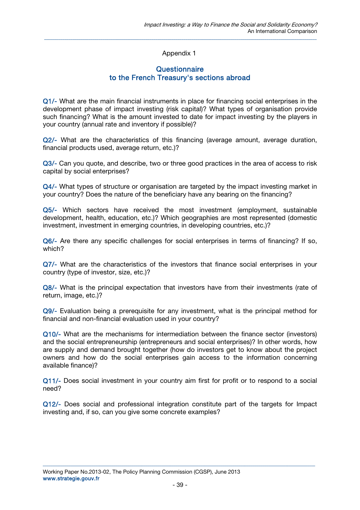#### Appendix 1

*\_\_\_\_\_\_\_\_\_\_\_\_\_\_\_\_\_\_\_\_\_\_\_\_\_\_\_\_\_\_\_\_\_\_\_\_\_\_\_\_\_\_\_\_\_\_\_\_\_\_\_\_\_\_\_\_\_\_\_\_\_\_\_\_\_\_\_\_\_\_\_\_\_\_\_\_\_\_\_\_\_\_\_\_\_\_\_\_\_\_\_\_\_\_\_\_\_\_\_\_\_\_\_\_\_\_\_\_\_\_\_\_\_\_\_\_\_\_\_\_\_\_\_\_\_\_\_\_\_\_\_\_\_\_\_*

#### **Questionnaire** to the French Treasury's sections abroad

Q1/- What are the main financial instruments in place for financing social enterprises in the development phase of impact investing (risk capital)? What types of organisation provide such financing? What is the amount invested to date for impact investing by the players in your country (annual rate and inventory if possible)?

Q2/- What are the characteristics of this financing (average amount, average duration, financial products used, average return, etc.)?

Q3/- Can you quote, and describe, two or three good practices in the area of access to risk capital by social enterprises?

Q4/- What types of structure or organisation are targeted by the impact investing market in your country? Does the nature of the beneficiary have any bearing on the financing?

Q5/- Which sectors have received the most investment (employment, sustainable development, health, education, etc.)? Which geographies are most represented (domestic investment, investment in emerging countries, in developing countries, etc.)?

Q6/- Are there any specific challenges for social enterprises in terms of financing? If so, which?

Q7/- What are the characteristics of the investors that finance social enterprises in your country (type of investor, size, etc.)?

Q8/- What is the principal expectation that investors have from their investments (rate of return, image, etc.)?

Q9/- Evaluation being a prerequisite for any investment, what is the principal method for financial and non-financial evaluation used in your country?

Q10/- What are the mechanisms for intermediation between the finance sector (investors) and the social entrepreneurship (entrepreneurs and social enterprises)? In other words, how are supply and demand brought together (how do investors get to know about the project owners and how do the social enterprises gain access to the information concerning available finance)?

Q11/- Does social investment in your country aim first for profit or to respond to a social need?

Q12/- Does social and professional integration constitute part of the targets for Impact investing and, if so, can you give some concrete examples?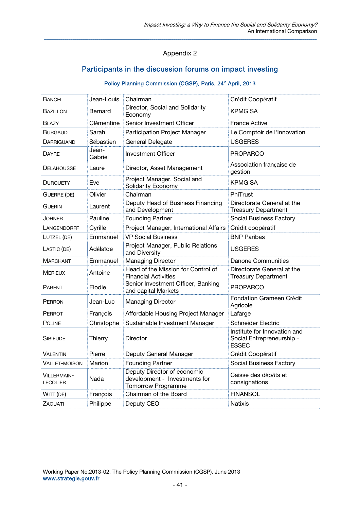#### Appendix 2

## Participants in the discussion forums on impact investing

#### Policy Planning Commission (CGSP), Paris, 24<sup>th</sup> April, 2013

| <b>BANCEL</b>                  | Jean-Louis       | Chairman                                                                                  | Crédit Coopératif                                                         |
|--------------------------------|------------------|-------------------------------------------------------------------------------------------|---------------------------------------------------------------------------|
| <b>BAZILLON</b>                | Bernard          | Director, Social and Solidarity<br>Economy                                                | <b>KPMG SA</b>                                                            |
| <b>BLAZY</b>                   | Clémentine       | Senior Investment Officer                                                                 | France Active                                                             |
| <b>BURGAUD</b>                 | Sarah            | <b>Participation Project Manager</b>                                                      | Le Comptoir de l'Innovation                                               |
| <b>DARRIGUAND</b>              | Sébastien        | General Delegate                                                                          | <b>USGERES</b>                                                            |
| <b>DAYRE</b>                   | Jean-<br>Gabriel | Investment Officer                                                                        | PROPARCO                                                                  |
| <b>DELAHOUSSE</b>              | Laure            | Director, Asset Management                                                                | Association française de<br>gestion                                       |
| <b>DURQUETY</b>                | Eve              | Project Manager, Social and<br><b>Solidarity Economy</b>                                  | <b>KPMG SA</b>                                                            |
| <b>GUERRE (DE)</b>             | Olivier          | Chairman                                                                                  | PhiTrust                                                                  |
| <b>GUERIN</b>                  | Laurent          | Deputy Head of Business Financing<br>and Development                                      | Directorate General at the<br><b>Treasury Department</b>                  |
| JOHNER                         | Pauline          | <b>Founding Partner</b>                                                                   | Social Business Factory                                                   |
| LANGENDORFF                    | Cyrille          | Project Manager, International Affairs                                                    | Crédit coopératif                                                         |
| LUTZEL (DE)                    | Emmanuel         | <b>VP Social Business</b>                                                                 | <b>BNP Paribas</b>                                                        |
| LASTIC (DE)                    | Adélaïde         | Project Manager, Public Relations<br>and Diversity                                        | <b>USGERES</b>                                                            |
| <b>MARCHANT</b>                | Emmanuel         | <b>Managing Director</b>                                                                  | <b>Danone Communities</b>                                                 |
| <b>MERIEUX</b>                 | Antoine          | Head of the Mission for Control of<br><b>Financial Activities</b>                         | Directorate General at the<br><b>Treasury Department</b>                  |
| <b>PARENT</b>                  | Elodie           | Senior Investment Officer, Banking<br>and capital Markets                                 | <b>PROPARCO</b>                                                           |
| <b>PERRON</b>                  | Jean-Luc         | <b>Managing Director</b>                                                                  | Fondation Grameen Crédit<br>Agricole                                      |
| <b>PERROT</b>                  | François         | Affordable Housing Project Manager                                                        | Lafarge                                                                   |
| <b>POLINE</b>                  | Christophe       | Sustainable Investment Manager                                                            | <b>Schneider Electric</b>                                                 |
| <b>SIBIEUDE</b>                | Thierry          | <b>Director</b>                                                                           | Institute for Innovation and<br>Social Entrepreneurship -<br><b>ESSEC</b> |
| <b>VALENTIN</b>                | Pierre           | Deputy General Manager                                                                    | Crédit Coopératif                                                         |
| <b>VALLET-MOISON</b>           | Marion           | <b>Founding Partner</b>                                                                   | Social Business Factory                                                   |
| VILLERMAIN-<br><b>LECOLIER</b> | Nada             | Deputy Director of economic<br>development - Investments for<br><b>Tomorrow Programme</b> | Caisse des dépôts et<br>consignations                                     |
| WITT (DE)                      | François         | Chairman of the Board                                                                     | <b>FINANSOL</b>                                                           |
| ZAOUATI                        | Philippe         | Deputy CEO                                                                                | Natixis                                                                   |